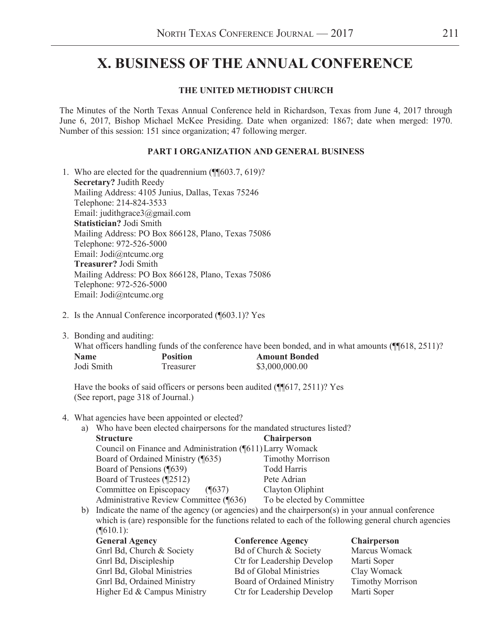# **X. BUSINESS OF THE ANNUAL CONFERENCE X. BUSINESS OF THE ANNUAL CONFERENCE**

#### **THE UNITED METHODIST CHURCH**

The Minutes of the North Texas Annual Conference held in Richardson, Texas from June 4, 2017 through June 6, 2017, Bishop Michael McKee Presiding. Date when organized: 1867; date when merged: 1970. Number of this session: 151 since organization; 47 following merger.

#### **PART I ORGANIZATION AND GENERAL BUSINESS**

- 1. Who are elected for the quadrennium (¶¶603.7, 619)? **Secretary?** Judith Reedy Mailing Address: 4105 Junius, Dallas, Texas 75246 Telephone: 214-824-3533 Email: judithgrace3@gmail.com **Statistician?** Jodi Smith Mailing Address: PO Box 866128, Plano, Texas 75086 Telephone: 972-526-5000 Email: Jodi@ntcumc.org **Treasurer?** Jodi Smith Mailing Address: PO Box 866128, Plano, Texas 75086 Telephone: 972-526-5000 Email: Jodi@ntcumc.org
- 2. Is the Annual Conference incorporated (¶603.1)? Yes
- 3. Bonding and auditing:

What officers handling funds of the conference have been bonded, and in what amounts (¶¶618, 2511)?<br> **Name** Position **Amount Bonded Name Position Amount Bonded** Jodi Smith Treasurer \$3,000,000.00

Have the books of said officers or persons been audited (¶617, 2511)? Yes (See report, page 318 of Journal.)

- 4. What agencies have been appointed or elected?
	- a) Who have been elected chairpersons for the mandated structures listed?

| <b>Structure</b>                                          | <b>Chairperson</b>         |
|-----------------------------------------------------------|----------------------------|
| Council on Finance and Administration (¶611) Larry Womack |                            |
| Board of Ordained Ministry (¶635)                         | <b>Timothy Morrison</b>    |
| Board of Pensions (¶639)                                  | <b>Todd Harris</b>         |
| Board of Trustees (¶2512)                                 | Pete Adrian                |
| Committee on Episcopacy<br>$($ [637)                      | Clayton Oliphint           |
| Administrative Review Committee (¶636)                    | To be elected by Committee |
|                                                           |                            |

b) Indicate the name of the agency (or agencies) and the chairperson(s) in your annual conference which is (are) responsible for the functions related to each of the following general church agencies  $($  [610.1):

| <b>General Agency</b>       | <b>Conference Agency</b>          | <b>Chairperson</b>      |
|-----------------------------|-----------------------------------|-------------------------|
| Gnrl Bd, Church & Society   | Bd of Church & Society            | Marcus Womack           |
| Gnrl Bd, Discipleship       | Ctr for Leadership Develop        | Marti Soper             |
| Gnrl Bd, Global Ministries  | <b>Bd of Global Ministries</b>    | Clay Womack             |
| Gnrl Bd, Ordained Ministry  | <b>Board of Ordained Ministry</b> | <b>Timothy Morrison</b> |
| Higher Ed & Campus Ministry | Ctr for Leadership Develop        | Marti Soper             |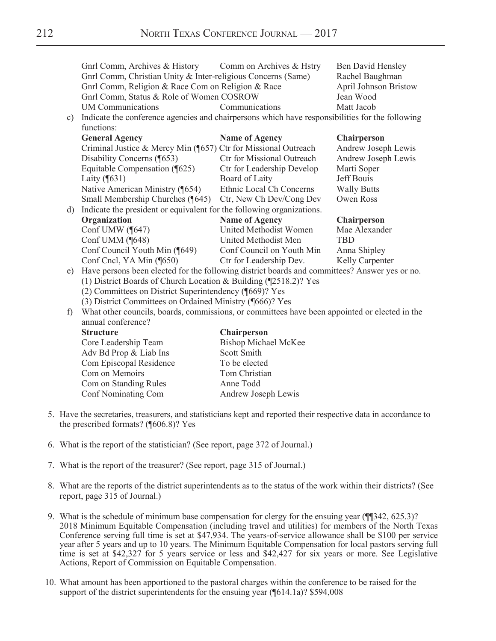|               | Gnrl Comm, Archives & History                                                                   | Comm on Archives & Hstry    | <b>Ben David Hensley</b>     |
|---------------|-------------------------------------------------------------------------------------------------|-----------------------------|------------------------------|
|               | Gnrl Comm, Christian Unity & Inter-religious Concerns (Same)                                    |                             | Rachel Baughman              |
|               | Gnrl Comm, Religion & Race Com on Religion & Race                                               |                             | <b>April Johnson Bristow</b> |
|               | Gnrl Comm, Status & Role of Women COSROW                                                        |                             | Jean Wood                    |
|               | <b>UM</b> Communications                                                                        | Communications              | Matt Jacob                   |
| $\mathbf{c})$ | Indicate the conference agencies and chairpersons which have responsibilities for the following |                             |                              |
|               | functions:                                                                                      |                             |                              |
|               | <b>General Agency</b>                                                                           | <b>Name of Agency</b>       | <b>Chairperson</b>           |
|               | Criminal Justice & Mercy Min (¶657) Ctr for Missional Outreach                                  |                             | Andrew Joseph Lewis          |
|               | Disability Concerns (¶653)                                                                      | Ctr for Missional Outreach  | Andrew Joseph Lewis          |
|               | Equitable Compensation (¶625)                                                                   | Ctr for Leadership Develop  | Marti Soper                  |
|               | Laity $(\sqrt{631})$                                                                            | Board of Laity              | Jeff Bouis                   |
|               | Native American Ministry (¶654)                                                                 | Ethnic Local Ch Concerns    | <b>Wally Butts</b>           |
|               | Small Membership Churches (¶645)                                                                | Ctr, New Ch Dev/Cong Dev    | <b>Owen Ross</b>             |
| d)            | Indicate the president or equivalent for the following organizations.                           |                             |                              |
|               | Organization                                                                                    | <b>Name of Agency</b>       | <b>Chairperson</b>           |
|               | Conf UMW (¶647)                                                                                 | United Methodist Women      | Mae Alexander                |
|               | Conf UMM (¶648)                                                                                 | United Methodist Men        | <b>TBD</b>                   |
|               | Conf Council Youth Min (¶649)                                                                   | Conf Council on Youth Min   | Anna Shipley                 |
|               | Conf Cncl, YA Min (¶650)                                                                        | Ctr for Leadership Dev.     | Kelly Carpenter              |
| e)            | Have persons been elected for the following district boards and committees? Answer yes or no.   |                             |                              |
|               | (1) District Boards of Church Location & Building (¶2518.2)? Yes                                |                             |                              |
|               | (2) Committees on District Superintendency (¶669)? Yes                                          |                             |                              |
|               | (3) District Committees on Ordained Ministry (¶666)? Yes                                        |                             |                              |
| f)            | What other councils, boards, commissions, or committees have been appointed or elected in the   |                             |                              |
|               | annual conference?                                                                              |                             |                              |
|               | <b>Structure</b>                                                                                | <b>Chairperson</b>          |                              |
|               | Core Leadership Team                                                                            | <b>Bishop Michael McKee</b> |                              |
|               | Adv Bd Prop & Liab Ins                                                                          | <b>Scott Smith</b>          |                              |
|               | Com Episcopal Residence                                                                         | To be elected               |                              |
|               | Com on Memoirs                                                                                  | Tom Christian               |                              |
|               | Com on Standing Rules                                                                           | Anne Todd                   |                              |
|               | Conf Nominating Com                                                                             | Andrew Joseph Lewis         |                              |

- 5. Have the secretaries, treasurers, and statisticians kept and reported their respective data in accordance to the prescribed formats? (¶606.8)? Yes
- 6. What is the report of the statistician? (See report, page 372 of Journal.)
- 7. What is the report of the treasurer? (See report, page 315 of Journal.)
- 8. What are the reports of the district superintendents as to the status of the work within their districts? (See report, page 315 of Journal.)
- 9. What is the schedule of minimum base compensation for clergy for the ensuing year (¶¶342, 625.3)? 2018 Minimum Equitable Compensation (including travel and utilities) for members of the North Texas Conference serving full time is set at  $$47,934$ . The years-of-service allowance shall be \$100 per service year after 5 years and up to 10 years. The Minimum Equitable Compensation for local pastors serving full time is set at \$42,327 for 5 years service or less and \$42,427 for six years or more. See Legislative Actions, Report of Commission on Equitable Compensation.
- 10. What amount has been apportioned to the pastoral charges within the conference to be raised for the support of the district superintendents for the ensuing year (¶614.1a)? \$594,008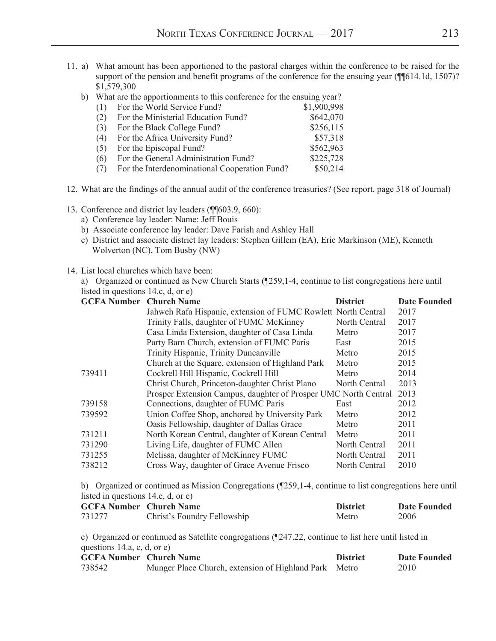- 11. a) What amount has been apportioned to the pastoral charges within the conference to be raised for the support of the pension and benefit programs of the conference for the ensuing year (¶¶614.1d, 1507)? \$1,579,300
	- b) What are the apportionments to this conference for the ensuing year?

| For the World Service Fund?                   | \$1,900,998 |
|-----------------------------------------------|-------------|
| For the Ministerial Education Fund?           | \$642,070   |
| For the Black College Fund?                   | \$256,115   |
| For the Africa University Fund?               | \$57,318    |
| For the Episcopal Fund?                       | \$562,963   |
| For the General Administration Fund?          | \$225,728   |
| For the Interdenominational Cooperation Fund? | \$50,214    |
|                                               |             |

- 12. What are the findings of the annual audit of the conference treasuries? (See report, page 318 of Journal)
- 13. Conference and district lay leaders (¶¶603.9, 660):
	- a) Conference lay leader: Name: Jeff Bouis
	- b) Associate conference lay leader: Dave Farish and Ashley Hall
	- c) District and associate district lay leaders: Stephen Gillem (EA), Eric Markinson (ME), Kenneth Wolverton (NC), Tom Busby (NW)

14. List local churches which have been:

a) Organized or continued as New Church Starts (¶259,1-4, continue to list congregations here until listed in questions 14.c, d, or e)

| <b>GCFA Number Church Name</b> |                                                                 | <b>District</b> | <b>Date Founded</b> |
|--------------------------------|-----------------------------------------------------------------|-----------------|---------------------|
|                                | Jahweh Rafa Hispanic, extension of FUMC Rowlett North Central   |                 | 2017                |
|                                | Trinity Falls, daughter of FUMC McKinney                        | North Central   | 2017                |
|                                | Casa Linda Extension, daughter of Casa Linda                    | Metro           | 2017                |
|                                | Party Barn Church, extension of FUMC Paris                      | East            | 2015                |
|                                | Trinity Hispanic, Trinity Duncanville                           | Metro           | 2015                |
|                                | Church at the Square, extension of Highland Park                | Metro           | 2015                |
| 739411                         | Cockrell Hill Hispanic, Cockrell Hill                           | Metro           | 2014                |
|                                | Christ Church, Princeton-daughter Christ Plano                  | North Central   | 2013                |
|                                | Prosper Extension Campus, daughter of Prosper UMC North Central |                 | 2013                |
| 739158                         | Connections, daughter of FUMC Paris                             | East            | 2012                |
| 739592                         | Union Coffee Shop, anchored by University Park                  | Metro           | 2012                |
|                                | Oasis Fellowship, daughter of Dallas Grace                      | Metro           | 2011                |
| 731211                         | North Korean Central, daughter of Korean Central                | Metro           | 2011                |
| 731290                         | Living Life, daughter of FUMC Allen                             | North Central   | 2011                |
| 731255                         | Melissa, daughter of McKinney FUMC                              | North Central   | 2011                |
| 738212                         | Cross Way, daughter of Grace Avenue Frisco                      | North Central   | 2010                |
|                                |                                                                 |                 |                     |

b) Organized or continued as Mission Congregations (¶259,1-4, continue to list congregations here until listed in questions 14.c, d, or e)

| <b>GCFA Number</b> Church Name |                             | <b>District</b> | Date Founded |
|--------------------------------|-----------------------------|-----------------|--------------|
| 731277                         | Christ's Foundry Fellowship | Metro           | 2006         |

c) Organized or continued as Satellite congregations (¶247.22, continue to list here until listed in questions 14.a, c, d, or e)

| <b>GCFA Number</b> Church Name |                                                       | <b>District</b> | Date Founded |
|--------------------------------|-------------------------------------------------------|-----------------|--------------|
| 738542                         | Munger Place Church, extension of Highland Park Metro |                 | 2010         |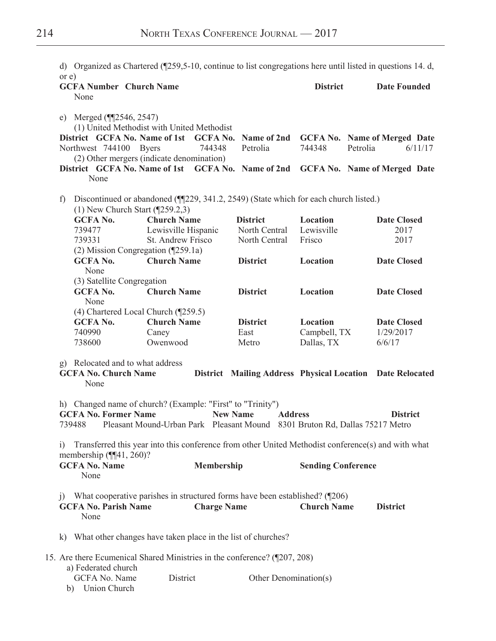|                      |                                                                         |                     |                    |                                                                                     |                           | d) Organized as Chartered ( $\sqrt{259,5-10}$ , continue to list congregations here until listed in questions 14. d, |
|----------------------|-------------------------------------------------------------------------|---------------------|--------------------|-------------------------------------------------------------------------------------|---------------------------|----------------------------------------------------------------------------------------------------------------------|
| or e)                | <b>GCFA Number Church Name</b><br>None                                  |                     |                    |                                                                                     | <b>District</b>           | <b>Date Founded</b>                                                                                                  |
|                      | e) Merged $(\P$ [2546, 2547)                                            |                     |                    |                                                                                     |                           |                                                                                                                      |
|                      | (1) United Methodist with United Methodist                              |                     |                    |                                                                                     |                           |                                                                                                                      |
|                      | District GCFA No. Name of 1st                                           |                     |                    |                                                                                     |                           | GCFA No. Name of 2nd GCFA No. Name of Merged Date                                                                    |
|                      | Northwest 744100                                                        | <b>Byers</b>        | 744348             | Petrolia                                                                            | 744348                    | Petrolia<br>6/11/17                                                                                                  |
|                      | (2) Other mergers (indicate denomination)                               |                     |                    |                                                                                     |                           |                                                                                                                      |
|                      | None                                                                    |                     |                    |                                                                                     |                           | District GCFA No. Name of 1st GCFA No. Name of 2nd GCFA No. Name of Merged Date                                      |
| $\ddot{\phantom{1}}$ | $(1)$ New Church Start ( $[259.2,3)$ )                                  |                     |                    | Discontinued or abandoned (¶229, 341.2, 2549) (State which for each church listed.) |                           |                                                                                                                      |
|                      | <b>GCFA No.</b>                                                         | <b>Church Name</b>  |                    | <b>District</b>                                                                     | Location                  | <b>Date Closed</b>                                                                                                   |
|                      | 739477                                                                  | Lewisville Hispanic |                    | North Central                                                                       | Lewisville                | 2017                                                                                                                 |
|                      | 739331                                                                  | St. Andrew Frisco   |                    | North Central                                                                       | Frisco                    | 2017                                                                                                                 |
|                      | (2) Mission Congregation (¶259.1a)                                      |                     |                    |                                                                                     |                           |                                                                                                                      |
|                      | <b>GCFA No.</b><br>None                                                 | <b>Church Name</b>  |                    | <b>District</b>                                                                     | Location                  | <b>Date Closed</b>                                                                                                   |
|                      | (3) Satellite Congregation                                              |                     |                    |                                                                                     |                           |                                                                                                                      |
|                      | <b>GCFA No.</b><br>None                                                 | <b>Church Name</b>  |                    | <b>District</b>                                                                     | Location                  | <b>Date Closed</b>                                                                                                   |
|                      | (4) Chartered Local Church (¶259.5)                                     |                     |                    |                                                                                     |                           |                                                                                                                      |
|                      | <b>GCFA No.</b>                                                         | <b>Church Name</b>  |                    | <b>District</b>                                                                     | Location                  | <b>Date Closed</b>                                                                                                   |
|                      | 740990                                                                  | Caney               |                    | East                                                                                | Campbell, TX              | 1/29/2017                                                                                                            |
|                      | 738600                                                                  | Owenwood            |                    | Metro                                                                               | Dallas, TX                | 6/6/17                                                                                                               |
|                      | g) Relocated and to what address<br><b>GCFA No. Church Name</b><br>None |                     |                    |                                                                                     |                           | District Mailing Address Physical Location Date Relocated                                                            |
|                      | h) Changed name of church? (Example: "First" to "Trinity")              |                     |                    |                                                                                     |                           |                                                                                                                      |
|                      | <b>GCFA No. Former Name</b><br>739488                                   |                     |                    | <b>New Name</b><br><b>Address</b>                                                   |                           | <b>District</b><br>Pleasant Mound-Urban Park Pleasant Mound 8301 Bruton Rd, Dallas 75217 Metro                       |
| i)                   | membership $(\P\P41, 260)$ ?                                            |                     |                    |                                                                                     |                           | Transferred this year into this conference from other United Methodist conference(s) and with what                   |
|                      | <b>GCFA No. Name</b><br>None                                            |                     | <b>Membership</b>  |                                                                                     | <b>Sending Conference</b> |                                                                                                                      |
| $\left( \right)$     | <b>GCFA No. Parish Name</b>                                             |                     | <b>Charge Name</b> | What cooperative parishes in structured forms have been established? (¶206)         | <b>Church Name</b>        | <b>District</b>                                                                                                      |
|                      | None                                                                    |                     |                    |                                                                                     |                           |                                                                                                                      |
|                      | k) What other changes have taken place in the list of churches?         |                     |                    |                                                                                     |                           |                                                                                                                      |
|                      | a) Federated church                                                     |                     |                    | 15. Are there Ecumenical Shared Ministries in the conference? (¶207, 208)           |                           |                                                                                                                      |
|                      |                                                                         |                     |                    |                                                                                     |                           |                                                                                                                      |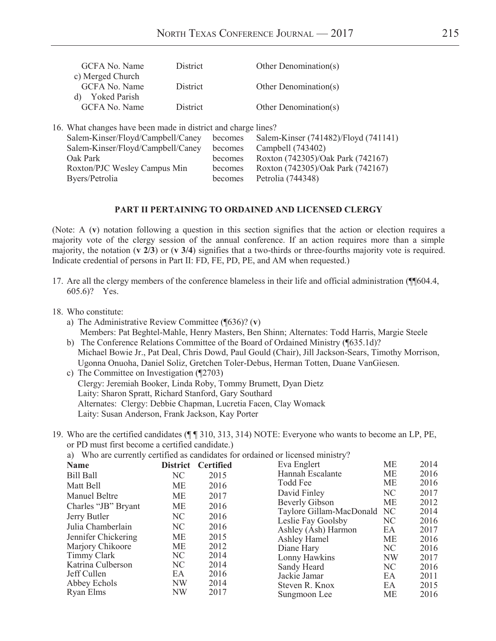| GCFA No. Name                                                 | <b>District</b> |         | Other Denomination(s)                |
|---------------------------------------------------------------|-----------------|---------|--------------------------------------|
| c) Merged Church                                              |                 |         |                                      |
| GCFA No. Name                                                 | <b>District</b> |         | Other Denomination( $s$ )            |
| <b>Yoked Parish</b><br>d)                                     |                 |         |                                      |
| GCFA No. Name                                                 | District        |         | Other Denomination(s)                |
|                                                               |                 |         |                                      |
| 16. What changes have been made in district and charge lines? |                 |         |                                      |
| Salem-Kinser/Floyd/Campbell/Caney                             |                 | becomes | Salem-Kinser (741482)/Floyd (741141) |
| Salem-Kinser/Floyd/Campbell/Caney                             |                 | becomes | Campbell (743402)                    |
| Oak Park                                                      |                 | becomes | Roxton (742305)/Oak Park (742167)    |

Roxton/PJC Wesley Campus Min becomes Roxton (742305)/Oak Park (742167)

Byers/Petrolia becomes Petrolia (744348)

#### **PART II PERTAINING TO ORDAINED AND LICENSED CLERGY**

(Note: A (**v**) notation following a question in this section signifies that the action or election requires a majority vote of the clergy session of the annual conference. If an action requires more than a simple majority, the notation (**v 2/3**) or (**v 3/4**) signifies that a two-thirds or three-fourths majority vote is required. Indicate credential of persons in Part II: FD, FE, PD, PE, and AM when requested.)

- 17. Are all the clergy members of the conference blameless in their life and official administration (¶¶604.4, 605.6)? Yes.
- 18. Who constitute:
	- a) The Administrative Review Committee (¶636)? (**v**) Members: Pat Beghtel-Mahle, Henry Masters, Ben Shinn; Alternates: Todd Harris, Margie Steele
	- b) The Conference Relations Committee of the Board of Ordained Ministry (¶635.1d)? Michael Bowie Jr., Pat Deal, Chris Dowd, Paul Gould (Chair), Jill Jackson-Sears, Timothy Morrison, Ugonna Onuoha, Daniel Soliz, Gretchen Toler-Debus, Herman Totten, Duane VanGiesen.
	- c) The Committee on Investigation (¶2703) Clergy: Jeremiah Booker, Linda Roby, Tommy Brumett, Dyan Dietz Laity: Sharon Spratt, Richard Stanford, Gary Southard Alternates: Clergy: Debbie Chapman, Lucretia Facen, Clay Womack Laity: Susan Anderson, Frank Jackson, Kay Porter
- 19. Who are the certified candidates (¶ ¶ 310, 313, 314) NOTE: Everyone who wants to become an LP, PE, or PD must first become a certified candidate.)

a) Who are currently certified as candidates for ordained or licensed ministry?

| <b>Name</b>          |           | District Certified | Eva Englert              | <b>ME</b> | 2014 |
|----------------------|-----------|--------------------|--------------------------|-----------|------|
| <b>Bill Ball</b>     | NC        | 2015               | Hannah Escalante         | <b>ME</b> | 2016 |
| Matt Bell            | <b>ME</b> | 2016               | Todd Fee                 | <b>ME</b> | 2016 |
| <b>Manuel Beltre</b> | <b>ME</b> | 2017               | David Finley             | NC        | 2017 |
| Charles "JB" Bryant  | <b>ME</b> | 2016               | Beverly Gibson           | <b>ME</b> | 2012 |
| Jerry Butler         | NC        | 2016               | Taylore Gillam-MacDonald | NC        | 2014 |
| Julia Chamberlain    | NC        |                    | Leslie Fay Goolsby       | NC        | 2016 |
|                      |           | 2016               | Ashley (Ash) Harmon      | EA        | 2017 |
| Jennifer Chickering  | <b>ME</b> | 2015               | Ashley Hamel             | <b>ME</b> | 2016 |
| Marjory Chikoore     | <b>ME</b> | 2012               | Diane Hary               | NC        | 2016 |
| Timmy Clark          | NC        | 2014               | Lonny Hawkins            | <b>NW</b> | 2017 |
| Katrina Culberson    | NC        | 2014               | Sandy Heard              | NC        | 2016 |
| Jeff Cullen          | EA        | 2016               | Jackie Jamar             | EA.       | 2011 |
| Abbey Echols         | <b>NW</b> | 2014               | Steven R. Knox           | EA        | 2015 |
| Ryan Elms            | NW        | 2017               | Sungmoon Lee             | МE        | 2016 |
|                      |           |                    |                          |           |      |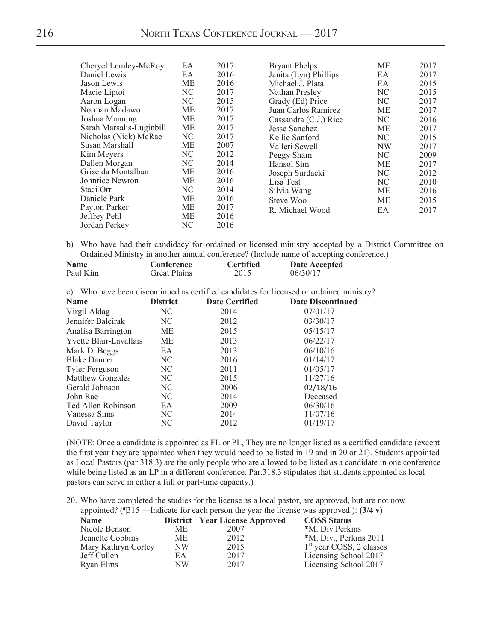| Cheryel Lemley-McRoy     | EA        | 2017 | <b>Bryant Phelps</b>  | МE        | 2017 |
|--------------------------|-----------|------|-----------------------|-----------|------|
| Daniel Lewis             | EA        | 2016 | Janita (Lyn) Phillips | EA        | 2017 |
| Jason Lewis              | ME        | 2016 | Michael J. Plata      | EA        | 2015 |
| Macie Liptoi             | NC        | 2017 | Nathan Presley        | NC        | 2015 |
| Aaron Logan              | NC        | 2015 | Grady (Ed) Price      | NC        | 2017 |
| Norman Madawo            | <b>ME</b> | 2017 | Juan Carlos Ramirez   | ME        | 2017 |
| Joshua Manning           | ME        | 2017 | Cassandra (C.J.) Rice | NC        | 2016 |
| Sarah Marsalis-Luginbill | ME        | 2017 | Jesse Sanchez         | МE        | 2017 |
| Nicholas (Nick) McRae    | NC        | 2017 | Kellie Sanford        | NC        | 2015 |
| Susan Marshall           | ME        | 2007 | Valleri Sewell        | <b>NW</b> | 2017 |
| Kim Meyers               | NC        | 2012 | Peggy Sham            | NC        | 2009 |
| Dallen Morgan            | NC        | 2014 | Hansol Sim            | ME        | 2017 |
| Griselda Montalban       | ME        | 2016 | Joseph Surdacki       | NC        | 2012 |
| Johnrice Newton          | ME        | 2016 | Lisa Test             | NC        | 2010 |
| Staci Orr                | NC        | 2014 | Silvia Wang           | ME        | 2016 |
| Daniele Park             | ME        | 2016 | Steve Woo             | ME        | 2015 |
| Payton Parker            | ME        | 2017 | R. Michael Wood       | EA        | 2017 |
| Jeffrey Pehl             | ME        | 2016 |                       |           |      |
| Jordan Perkey            | NC        | 2016 |                       |           |      |

b) Who have had their candidacy for ordained or licensed ministry accepted by a District Committee on Ordained Ministry in another annual conference? (Include name of accepting conference.)

| <b>Name</b> | Conference   | <b>Certified</b> | Date Accepted |
|-------------|--------------|------------------|---------------|
| Paul Kim    | Great Plains | 2015             | 06/30/17      |

c) Who have been discontinued as certified candidates for licensed or ordained ministry?

| <b>Name</b>             | <b>District</b> | <b>Date Certified</b> | <b>Date Discontinued</b> |
|-------------------------|-----------------|-----------------------|--------------------------|
| Virgil Aldag            | NC.             | 2014                  | 07/01/17                 |
| Jennifer Balcirak       | NC.             | 2012                  | 03/30/17                 |
| Analisa Barrington      | МE              | 2015                  | 05/15/17                 |
| Yvette Blair-Lavallais  | МE              | 2013                  | 06/22/17                 |
| Mark D. Beggs           | EA.             | 2013                  | 06/10/16                 |
| <b>Blake Danner</b>     | NC              | 2016                  | 01/14/17                 |
| <b>Tyler Ferguson</b>   | NC.             | 2011                  | 01/05/17                 |
| <b>Matthew Gonzales</b> | NC              | 2015                  | 11/27/16                 |
| Gerald Johnson          | NC              | 2006                  | 02/18/16                 |
| John Rae                | NC              | 2014                  | Deceased                 |
| Ted Allen Robinson      | EA              | 2009                  | 06/30/16                 |
| Vanessa Sims            | NC              | 2014                  | 11/07/16                 |
| David Taylor            | NC              | 2012                  | 01/19/17                 |
|                         |                 |                       |                          |

 (NOTE: Once a candidate is appointed as FL or PL, They are no longer listed as a certified candidate (except the first year they are appointed when they would need to be listed in 19 and in 20 or 21). Students appointed as Local Pastors (par.318.3) are the only people who are allowed to be listed as a candidate in one conference while being listed as an LP in a different conference. Par.318.3 stipulates that students appointed as local pastors can serve in either a full or part-time capacity.)

20. Who have completed the studies for the license as a local pastor, are approved, but are not now appointed? (¶315 —Indicate for each person the year the license was approved.): **(3/4 v)**

|                           |      | <b>COSS Status</b>                    |
|---------------------------|------|---------------------------------------|
| ME.                       | 2007 | *M. Div Perkins                       |
| ME.                       | 2012 | *M. Div., Perkins 2011                |
| Mary Kathryn Corley<br>NW | 2015 | $1st$ year COSS, 2 classes            |
| EА                        | 2017 | Licensing School 2017                 |
| NW                        | 2017 | Licensing School 2017                 |
|                           |      | <b>District</b> Year License Approved |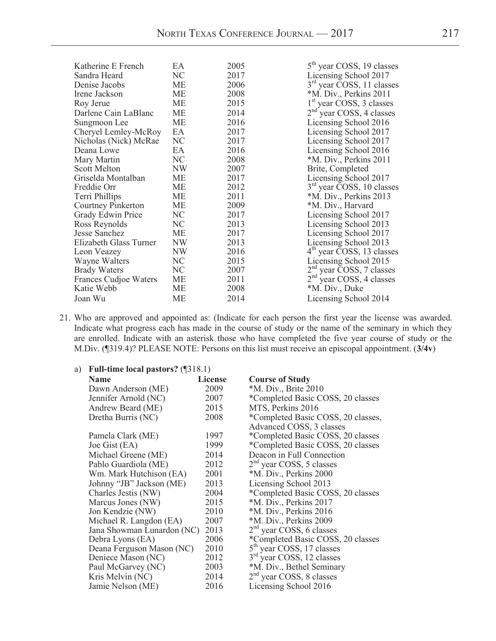| Katherine E French     | EA.       | 2005 | $5th$ year COSS, 19 classes               |
|------------------------|-----------|------|-------------------------------------------|
| Sandra Heard           | NC        | 2017 | Licensing School 2017                     |
| Denise Jacobs          | ME        | 2006 | $3rd$ year $\overline{C}$ OSS, 11 classes |
| Irene Jackson          | ME        | 2008 | *M. Div., Perkins 2011                    |
| Roy Jerue              | ME        | 2015 | 1 <sup>st</sup> year COSS, 3 classes      |
| Darlene Cain LaBlanc   | ME        | 2014 | $2nd$ year COSS, 4 classes                |
| Sungmoon Lee           | МE        | 2016 | Licensing School 2016                     |
| Cheryel Lemley-McRoy   | EA        | 2017 | Licensing School 2017                     |
| Nicholas (Nick) McRae  | NC        | 2017 | Licensing School 2017                     |
| Deana Lowe             | EA        | 2016 | Licensing School 2016                     |
| Mary Martin            | NC        | 2008 | *M. Div., Perkins 2011                    |
| <b>Scott Melton</b>    | NW        | 2007 | Brite, Completed                          |
| Griselda Montalban     | ME        | 2017 | Licensing School 2017                     |
| Freddie Orr            | ME        | 2012 | 3 <sup>rd</sup> year COSS, 10 classes     |
| Terri Phillips         | МE        | 2011 | *M. Div., Perkins 2013                    |
| Courtney Pinkerton     | МE        | 2009 | *M. Div., Harvard                         |
| Grady Edwin Price      | NC        | 2017 | Licensing School 2017                     |
| Ross Reynolds          | NC        | 2013 | Licensing School 2013                     |
| Jesse Sanchez          | ME        | 2017 | Licensing School 2017                     |
| Elizabeth Glass Turner | NW        | 2013 | Licensing School 2013                     |
| Leon Veazey            | NW        | 2016 | $4th$ year COSS, 13 classes               |
| Wayne Walters          | NC        | 2015 | Licensing School 2015                     |
| <b>Brady Waters</b>    | NC        | 2007 | $2nd$ year COSS, 7 classes                |
| Frances Cudjoe Waters  | МE        | 2011 | $2nd$ year COSS, 4 classes                |
| Katie Webb             | ME        | 2008 | *M. Div., Duke                            |
| Joan Wu                | <b>ME</b> | 2014 | Licensing School 2014                     |
|                        |           |      |                                           |

21. Who are approved and appointed as: (Indicate for each person the first year the license was awarded. Indicate what progress each has made in the course of study or the name of the seminary in which they are enrolled. Indicate with an asterisk those who have completed the five year course of study or the M.Div. (¶319.4)? PLEASE NOTE: Persons on this list must receive an episcopal appointment. (**3/4v**)

| a) Full-time local pastors? $(\text{$}318.1)$ |  |
|-----------------------------------------------|--|
|                                               |  |

| <b>Name</b>                | <b>License</b> | <b>Course of Study</b>                |
|----------------------------|----------------|---------------------------------------|
| Dawn Anderson (ME)         | 2009           | *M. Div., Brite 2010                  |
| Jennifer Arnold (NC)       | 2007           | *Completed Basic COSS, 20 classes     |
| Andrew Beard (ME)          | 2015           | MTS, Perkins 2016                     |
| Dretha Burris (NC)         | 2008           | *Completed Basic COSS, 20 classes,    |
|                            |                | Advanced COSS, 3 classes              |
| Pamela Clark (ME)          | 1997           | *Completed Basic COSS, 20 classes     |
| Joe Gist (EA)              | 1999           | *Completed Basic COSS, 20 classes     |
| Michael Greene (ME)        | 2014           | Deacon in Full Connection             |
| Pablo Guardiola (ME)       | 2012           | $2nd$ year COSS, 5 classes            |
| Wm. Mark Hutchison (EA)    | 2001           | *M. Div., Perkins 2000                |
| Johnny "JB" Jackson (ME)   | 2013           | Licensing School 2013                 |
| Charles Jestis (NW)        | 2004           | *Completed Basic COSS, 20 classes     |
| Marcus Jones (NW)          | 2015           | *M. Div., Perkins 2017                |
| Jon Kendzie (NW)           | 2010           | *M. Div., Perkins 2016                |
| Michael R. Langdon (EA)    | 2007           | *M. Div., Perkins 2009                |
| Jana Showman Lunardon (NC) | 2013           | $2nd$ year COSS, 6 classes            |
| Debra Lyons (EA)           | 2006           | *Completed Basic COSS, 20 classes     |
| Deana Ferguson Mason (NC)  | 2010           | 5 <sup>th</sup> year COSS, 17 classes |
| Deniece Mason (NC)         | 2012           | 3 <sup>rd</sup> year COSS, 12 classes |
| Paul McGarvey (NC)         | 2003           | *M. Div., Bethel Seminary             |
| Kris Melvin (NC)           | 2014           | $2nd$ year COSS, 8 classes            |
| Jamie Nelson (ME)          | 2016           | Licensing School 2016                 |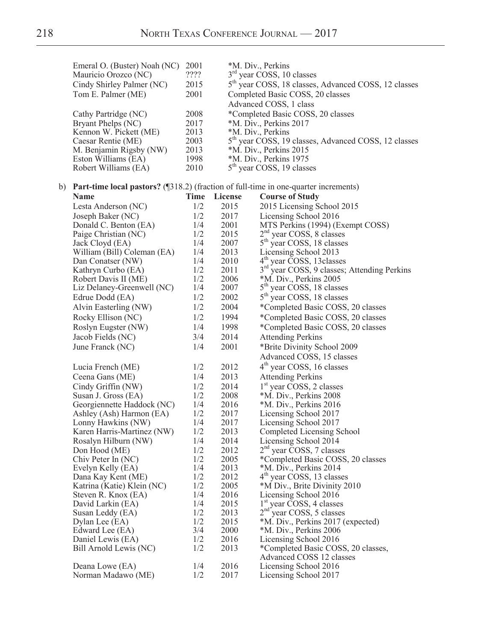| Emeral O. (Buster) Noah (NC)<br>Mauricio Orozco (NC)<br>Cindy Shirley Palmer (NC)              | 2001<br>????<br>2015 |                                                            | *M. Div., Perkins<br>$3rd$ year COSS, 10 classes<br>5 <sup>th</sup> year COSS, 18 classes, Advanced COSS, 12 classes |  |
|------------------------------------------------------------------------------------------------|----------------------|------------------------------------------------------------|----------------------------------------------------------------------------------------------------------------------|--|
| Tom E. Palmer (ME)                                                                             | 2001                 | Completed Basic COSS, 20 classes<br>Advanced COSS, 1 class |                                                                                                                      |  |
| Cathy Partridge (NC)                                                                           | 2008                 |                                                            | *Completed Basic COSS, 20 classes                                                                                    |  |
| Bryant Phelps (NC)                                                                             | 2017                 |                                                            | *M. Div., Perkins 2017                                                                                               |  |
| Kennon W. Pickett (ME)                                                                         | 2013                 |                                                            | *M. Div., Perkins                                                                                                    |  |
| Caesar Rentie (ME)                                                                             | 2003                 |                                                            | 5 <sup>th</sup> year COSS, 19 classes, Advanced COSS, 12 classes                                                     |  |
| M. Benjamin Rigsby (NW)                                                                        | 2013                 |                                                            | *M. Div., Perkins 2015                                                                                               |  |
| Eston Williams (EA)                                                                            | 1998                 |                                                            | *M. Div., Perkins 1975                                                                                               |  |
| Robert Williams (EA)                                                                           | 2010                 |                                                            | 5 <sup>th</sup> year COSS, 19 classes                                                                                |  |
| b) Part-time local pastors? $(\sqrt{318.2})$ (fraction of full-time in one-quarter increments) |                      |                                                            |                                                                                                                      |  |
| Name                                                                                           | Time                 | License                                                    | <b>Course of Study</b>                                                                                               |  |
| Lesta Anderson (NC)                                                                            | 1/2                  | 2015                                                       | 2015 Licensing School 2015                                                                                           |  |
| Joseph Baker (NC)                                                                              | 1/2                  | 2017                                                       | Licensing School 2016                                                                                                |  |
| Donald C. Benton (EA)                                                                          | 1/4                  | 2001                                                       | MTS Perkins (1994) (Exempt COSS)                                                                                     |  |
| Paige Christian (NC)                                                                           | 1/2                  | 2015                                                       | $2nd$ year COSS, 8 classes                                                                                           |  |
| Jack Cloyd (EA)                                                                                | 1/4                  | 2007                                                       | 5 <sup>th</sup> year COSS, 18 classes                                                                                |  |
| William (Bill) Coleman (EA)                                                                    | 1/4                  | 2013                                                       | Licensing School 2013                                                                                                |  |
| Dan Conatser (NW)                                                                              | 1/4                  | 2010                                                       | $4th$ year COSS, 13 classes                                                                                          |  |
| Kathryn Curbo (EA)                                                                             | 1/2                  | 2011                                                       | 3 <sup>rd</sup> year COSS, 9 classes; Attending Perkins                                                              |  |
| Robert Davis II (ME)                                                                           | 1/2                  | 2006                                                       | *M. Div., Perkins 2005                                                                                               |  |
| Liz Delaney-Greenwell (NC)                                                                     | 1/4                  | 2007                                                       | $5th$ year COSS, 18 classes                                                                                          |  |
| Edrue Dodd (EA)                                                                                | 1/2                  | 2002                                                       | 5 <sup>th</sup> year COSS, 18 classes                                                                                |  |
| Alvin Easterling (NW)                                                                          | 1/2                  | 2004                                                       | *Completed Basic COSS, 20 classes                                                                                    |  |
| Rocky Ellison (NC)                                                                             | 1/2                  | 1994                                                       | *Completed Basic COSS, 20 classes                                                                                    |  |
| Roslyn Eugster (NW)                                                                            | 1/4                  | 1998                                                       | *Completed Basic COSS, 20 classes                                                                                    |  |
| Jacob Fields (NC)                                                                              | 3/4                  | 2014                                                       | <b>Attending Perkins</b>                                                                                             |  |
| June Franck (NC)                                                                               | 1/4                  | 2001                                                       | *Brite Divinity School 2009                                                                                          |  |
|                                                                                                |                      |                                                            | Advanced COSS, 15 classes                                                                                            |  |
| Lucia French (ME)                                                                              | 1/2                  | 2012                                                       | $4th$ year COSS, 16 classes                                                                                          |  |
| Ceena Gans (ME)                                                                                | 1/4                  | 2013                                                       | <b>Attending Perkins</b>                                                                                             |  |
| Cindy Griffin (NW)                                                                             | 1/2                  | 2014                                                       | $1st$ year COSS, 2 classes                                                                                           |  |
| Susan J. Gross (EA)                                                                            | 1/2                  | 2008                                                       | *M. Div., Perkins 2008                                                                                               |  |
| Georgiennette Haddock (NC)                                                                     | 1/4                  | 2016                                                       | *M. Div., Perkins 2016                                                                                               |  |
| Ashley (Ash) Harmon (EA)                                                                       | 1/2                  | 2017                                                       | Licensing School 2017                                                                                                |  |
| Lonny Hawkins (NW)                                                                             | 1/4                  | 2017                                                       | Licensing School 2017                                                                                                |  |
| Karen Harris-Martinez (NW)                                                                     | 1/2                  | 2013                                                       | Completed Licensing School                                                                                           |  |
| Rosalyn Hilburn (NW)                                                                           | 1/4                  | 2014                                                       | Licensing School 2014                                                                                                |  |
| Don Hood (ME)                                                                                  | 1/2                  | 2012                                                       | $2nd$ year COSS, 7 classes                                                                                           |  |
| Chiv Peter In (NC)                                                                             | 1/2                  | 2005                                                       | *Completed Basic COSS, 20 classes                                                                                    |  |
| Evelyn Kelly (EA)                                                                              | 1/4                  | 2013                                                       | *M. Div., Perkins 2014                                                                                               |  |
| Dana Kay Kent (ME)                                                                             | 1/2                  | 2012                                                       | $4th$ year COSS, 13 classes                                                                                          |  |
| Katrina (Katie) Klein (NC)                                                                     | 1/2                  | 2005                                                       | *M Div., Brite Divinity 2010                                                                                         |  |
| Steven R. Knox (EA)                                                                            | 1/4                  | 2016                                                       | Licensing School 2016                                                                                                |  |
| David Larkin (EA)                                                                              | 1/4                  | 2015                                                       | $1st$ year COSS, 4 classes                                                                                           |  |
| Susan Leddy (EA)                                                                               | 1/2<br>1/2           | 2013                                                       | $2nd$ year COSS, 5 classes                                                                                           |  |
| Dylan Lee (EA)<br>Edward Lee (EA)                                                              | 3/4                  | 2015<br>2000                                               | *M. Div., Perkins 2017 (expected)<br>*M. Div., Perkins 2006                                                          |  |
| Daniel Lewis (EA)                                                                              | 1/2                  | 2016                                                       | Licensing School 2016                                                                                                |  |
| Bill Arnold Lewis (NC)                                                                         | 1/2                  | 2013                                                       | *Completed Basic COSS, 20 classes,                                                                                   |  |
|                                                                                                |                      |                                                            | Advanced COSS 12 classes                                                                                             |  |
| Deana Lowe (EA)                                                                                | 1/4                  | 2016                                                       | Licensing School 2016                                                                                                |  |
| Norman Madawo (ME)                                                                             | 1/2                  | 2017                                                       | Licensing School 2017                                                                                                |  |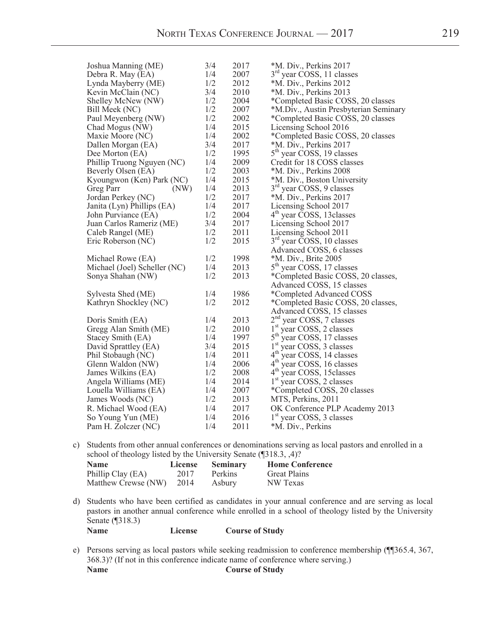| Joshua Manning (ME)          | 3/4 | 2017 | *M. Div., Perkins 2017                   |
|------------------------------|-----|------|------------------------------------------|
| Debra R. May (EA)            | 1/4 | 2007 | $3rd$ year COSS, 11 classes              |
| Lynda Mayberry (ME)          | 1/2 | 2012 | *M. Div., Perkins 2012                   |
| Kevin McClain (NC)           | 3/4 | 2010 | *M. Div., Perkins 2013                   |
| Shelley McNew (NW)           | 1/2 | 2004 | *Completed Basic COSS, 20 classes        |
| Bill Meek (NC)               | 1/2 | 2007 | *M.Div., Austin Presbyterian Seminary    |
| Paul Meyenberg (NW)          | 1/2 | 2002 | *Completed Basic COSS, 20 classes        |
| Chad Mogus (NW)              | 1/4 | 2015 | Licensing School 2016                    |
| Maxie Moore (NC)             | 1/4 | 2002 | *Completed Basic COSS, 20 classes        |
| Dallen Morgan (EA)           | 3/4 | 2017 | *M. Div., Perkins 2017                   |
| Dee Morton (EA)              | 1/2 | 1995 | 5 <sup>th</sup> year COSS, 19 classes    |
| Phillip Truong Nguyen (NC)   | 1/4 | 2009 | Credit for 18 COSS classes               |
| Beverly Olsen (EA)           | 1/2 | 2003 | *M. Div., Perkins 2008                   |
| Kyoungwon (Ken) Park (NC)    | 1/4 | 2015 | *M. Div., Boston University              |
| Greg Parr<br>(NW)            | 1/4 | 2013 | 3 <sup>rd</sup> year COSS, 9 classes     |
| Jordan Perkey (NC)           | 1/2 | 2017 | *M. Div., Perkins 2017                   |
| Janita (Lyn) Phillips (EA)   | 1/4 | 2017 | Licensing School 2017                    |
| John Purviance (EA)          | 1/2 | 2004 | 4 <sup>th</sup> year COSS, 13 classes    |
| Juan Carlos Rameriz (ME)     | 3/4 | 2017 | Licensing School 2017                    |
| Caleb Rangel (ME)            | 1/2 | 2011 | Licensing School 2011                    |
| Eric Roberson (NC)           | 1/2 | 2015 | $3rd$ year COSS, 10 classes              |
|                              |     |      | Advanced COSS, 6 classes                 |
| Michael Rowe (EA)            | 1/2 | 1998 | *M. Div., Brite 2005                     |
| Michael (Joel) Scheller (NC) | 1/4 | 2013 | 5 <sup>th</sup> year COSS, 17 classes    |
| Sonya Shahan (NW)            | 1/2 | 2013 | *Completed Basic COSS, 20 classes,       |
|                              |     |      | Advanced COSS, 15 classes                |
| Sylvesta Shed (ME)           | 1/4 | 1986 | *Completed Advanced COSS                 |
| Kathryn Shockley (NC)        | 1/2 | 2012 | *Completed Basic COSS, 20 classes,       |
|                              |     |      | Advanced COSS, 15 classes                |
| Doris Smith (EA)             | 1/4 | 2013 | $2nd$ year COSS, 7 classes               |
| Gregg Alan Smith (ME)        | 1/2 | 2010 | $1st$ year COSS, 2 classes               |
| Stacey Smith (EA)            | 1/4 | 1997 | $5^{\text{th}}$<br>year COSS, 17 classes |
| David Sprattley (EA)         | 3/4 | 2015 | 1 <sup>st</sup> year COSS, 3 classes     |
| Phil Stobaugh (NC)           | 1/4 | 2011 | $4^{\text{th}}$<br>year COSS, 14 classes |
| Glenn Waldon (NW)            | 1/4 | 2006 | $4^{\rm th}$<br>year COSS, 16 classes    |
| James Wilkins (EA)           | 1/2 | 2008 | $4^{\text{th}}$ year COSS, 15 classes    |
| Angela Williams (ME)         | 1/4 | 2014 | 1 <sup>st</sup> year COSS, 2 classes     |
| Louella Williams (EA)        | 1/4 | 2007 | *Completed COSS, 20 classes              |
| James Woods (NC)             | 1/2 | 2013 | MTS, Perkins, 2011                       |
| R. Michael Wood (EA)         | 1/4 | 2017 | OK Conference PLP Academy 2013           |
| So Young Yun (ME)            | 1/4 | 2016 | 1 <sup>st</sup> year COSS, 3 classes     |
| Pam H. Zolczer (NC)          | 1/4 | 2011 | *M. Div., Perkins                        |

c) Students from other annual conferences or denominations serving as local pastors and enrolled in a school of theology listed by the University Senate (¶318.3, ,4)?

| <b>Name</b>              | License | <b>Seminary</b> | <b>Home Conference</b> |
|--------------------------|---------|-----------------|------------------------|
| Phillip Clay (EA)        | 2017    | Perkins         | <b>Great Plains</b>    |
| Matthew Crewse (NW) 2014 |         | Asbury          | NW Texas               |

d) Students who have been certified as candidates in your annual conference and are serving as local pastors in another annual conference while enrolled in a school of theology listed by the University Senate (¶318.3) **Name License Course of Study**

e) Persons serving as local pastors while seeking readmission to conference membership (¶¶365.4, 367, 368.3)? (If not in this conference indicate name of conference where serving.) **Name Course of Study**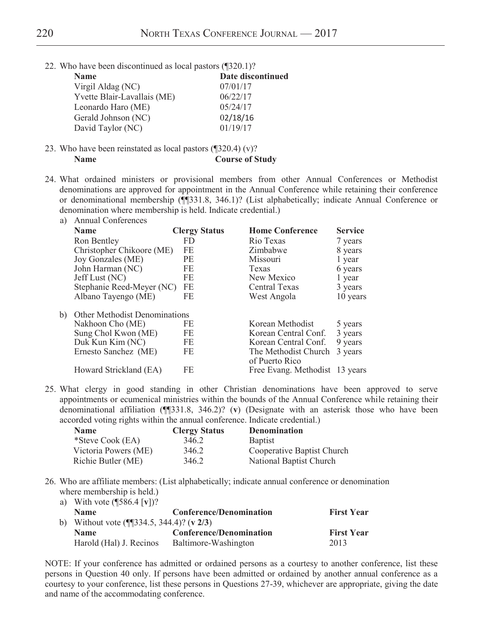22. Who have been discontinued as local pastors (¶320.1)?

| <b>Name</b>                 | Date discontinued |
|-----------------------------|-------------------|
| Virgil Aldag (NC)           | 07/01/17          |
| Yvette Blair-Lavallais (ME) | 06/22/17          |
| Leonardo Haro (ME)          | 05/24/17          |
| Gerald Johnson (NC)         | 02/18/16          |
| David Taylor (NC)           | 01/19/17          |

23. Who have been reinstated as local pastors (¶320.4) (v)? **Name Course** of Study

24. What ordained ministers or provisional members from other Annual Conferences or Methodist denominations are approved for appointment in the Annual Conference while retaining their conference or denominational membership (¶¶331.8, 346.1)? (List alphabetically; indicate Annual Conference or denomination where membership is held. Indicate credential.)

| a) | <b>Annual Conferences</b>            |                      |                                        |                |
|----|--------------------------------------|----------------------|----------------------------------------|----------------|
|    | <b>Name</b>                          | <b>Clergy Status</b> | <b>Home Conference</b>                 | <b>Service</b> |
|    | Ron Bentley                          | FD.                  | Rio Texas                              | 7 years        |
|    | Christopher Chikoore (ME)            | FE                   | Zimbabwe                               | 8 years        |
|    | Joy Gonzales (ME)                    | <b>PE</b>            | Missouri                               | 1 year         |
|    | John Harman (NC)                     | FE                   | Texas                                  | 6 years        |
|    | Jeff Lust (NC)                       | FE                   | New Mexico                             | 1 year         |
|    | Stephanie Reed-Meyer (NC)            | FE                   | Central Texas                          | 3 years        |
|    | Albano Tayengo (ME)                  | FE                   | West Angola                            | 10 years       |
| b) | <b>Other Methodist Denominations</b> |                      |                                        |                |
|    | Nakhoon Cho (ME)                     | FE                   | Korean Methodist                       | 5 years        |
|    | Sung Chol Kwon (ME)                  | FE                   | Korean Central Conf.                   | 3 years        |
|    | Duk Kun Kim (NC)                     | FE                   | Korean Central Conf.                   | 9 years        |
|    | Ernesto Sanchez (ME)                 | FE                   | The Methodist Church<br>of Puerto Rico | 3 years        |
|    | Howard Strickland (EA)               | FE                   | Free Evang. Methodist 13 years         |                |

25. What clergy in good standing in other Christian denominations have been approved to serve appointments or ecumenical ministries within the bounds of the Annual Conference while retaining their denominational affiliation (¶¶331.8, 346.2)? (**v**) (Designate with an asterisk those who have been accorded voting rights within the annual conference. Indicate credential.)

| <b>Name</b>          | <b>Clergy Status</b> | <b>Denomination</b>        |
|----------------------|----------------------|----------------------------|
| *Steve Cook (EA)     | 346.2                | <b>Baptist</b>             |
| Victoria Powers (ME) | 346.2                | Cooperative Baptist Church |
| Richie Butler (ME)   | 346.2                | National Baptist Church    |

26. Who are affiliate members: (List alphabetically; indicate annual conference or denomination where membership is held.)

| a) With vote $(\sqrt{586.4} \, \lceil v \rceil)^2$               |                                |                   |
|------------------------------------------------------------------|--------------------------------|-------------------|
| <b>Name</b>                                                      | <b>Conference/Denomination</b> | <b>First Year</b> |
| b) Without vote $(\sqrt{\sqrt{3334.5}}, \sqrt{344.4})$ ? (v 2/3) |                                |                   |
| <b>Name</b>                                                      | <b>Conference/Denomination</b> | <b>First Year</b> |
| Harold (Hal) J. Recinos                                          | Baltimore-Washington           | 2013              |

NOTE: If your conference has admitted or ordained persons as a courtesy to another conference, list these persons in Question 40 only. If persons have been admitted or ordained by another annual conference as a courtesy to your conference, list these persons in Questions 27-39, whichever are appropriate, giving the date and name of the accommodating conference.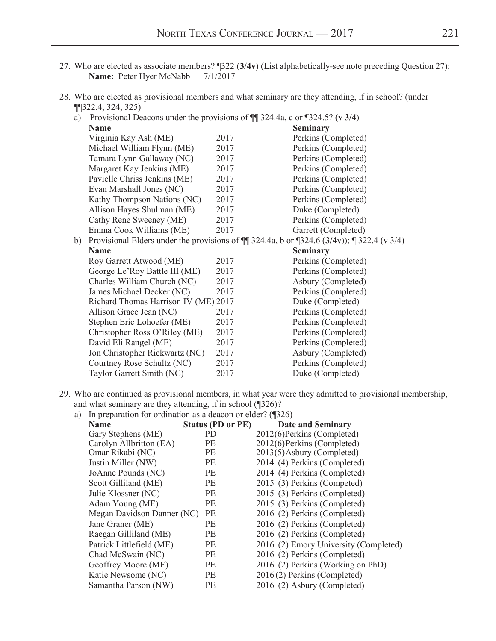- 27. Who are elected as associate members? ¶322 (**3/4v**) (List alphabetically-see note preceding Question 27): **Name:** Peter Hyer McNabb 7/1/2017
- 28. Who are elected as provisional members and what seminary are they attending, if in school? (under ¶¶322.4, 324, 325)

a) Provisional Deacons under the provisions of ¶¶ 324.4a, c or ¶324.5? (**v 3/4**)

| <b>Name</b>                                                                                               |      | <b>Seminary</b>     |
|-----------------------------------------------------------------------------------------------------------|------|---------------------|
| Virginia Kay Ash (ME)                                                                                     | 2017 | Perkins (Completed) |
| Michael William Flynn (ME)                                                                                | 2017 | Perkins (Completed) |
| Tamara Lynn Gallaway (NC)                                                                                 | 2017 | Perkins (Completed) |
| Margaret Kay Jenkins (ME)                                                                                 | 2017 | Perkins (Completed) |
| Pavielle Chriss Jenkins (ME)                                                                              | 2017 | Perkins (Completed) |
| Evan Marshall Jones (NC)                                                                                  | 2017 | Perkins (Completed) |
| Kathy Thompson Nations (NC)                                                                               | 2017 | Perkins (Completed) |
| Allison Hayes Shulman (ME)                                                                                | 2017 | Duke (Completed)    |
| Cathy Rene Sweeney (ME)                                                                                   | 2017 | Perkins (Completed) |
| Emma Cook Williams (ME)                                                                                   | 2017 | Garrett (Completed) |
| Provisional Elders under the provisions of $\P$ 324.4a, b or $\P$ 324.6 (3/4v)); $\P$ 322.4 (v 3/4)<br>b) |      |                     |
| <b>Name</b>                                                                                               |      | <b>Seminary</b>     |
| Roy Garrett Atwood (ME)                                                                                   | 2017 | Perkins (Completed) |
| George Le'Roy Battle III (ME)                                                                             | 2017 | Perkins (Completed) |
| Charles William Church (NC)                                                                               | 2017 | Asbury (Completed)  |
| James Michael Decker (NC)                                                                                 | 2017 | Perkins (Completed) |
| Richard Thomas Harrison IV (ME) 2017                                                                      |      | Duke (Completed)    |
| Allison Grace Jean (NC)                                                                                   | 2017 | Perkins (Completed) |
| Stephen Eric Lohoefer (ME)                                                                                | 2017 | Perkins (Completed) |
| Christopher Ross O'Riley (ME)                                                                             | 2017 | Perkins (Completed) |
| David Eli Rangel (ME)                                                                                     | 2017 | Perkins (Completed) |
| Jon Christopher Rickwartz (NC)                                                                            | 2017 | Asbury (Completed)  |
| Courtney Rose Schultz (NC)                                                                                | 2017 | Perkins (Completed) |
| Taylor Garrett Smith (NC)                                                                                 | 2017 | Duke (Completed)    |
|                                                                                                           |      |                     |

29. Who are continued as provisional members, in what year were they admitted to provisional membership, and what seminary are they attending, if in school (¶326)? a) In preparation for ordination as a deacon or elder? (¶326)

| In propulation for organization as a dealer of crucit. $\sqrt{2\pi}$ |                          |                                       |  |  |  |
|----------------------------------------------------------------------|--------------------------|---------------------------------------|--|--|--|
| <b>Name</b>                                                          | <b>Status (PD or PE)</b> | <b>Date and Seminary</b>              |  |  |  |
| Gary Stephens (ME)                                                   | <b>PD</b>                | 2012(6)Perkins (Completed)            |  |  |  |
| Carolyn Allbritton (EA)                                              | PE                       | 2012(6)Perkins (Completed)            |  |  |  |
| Omar Rikabi (NC)                                                     | PE                       | 2013(5) Asbury (Completed)            |  |  |  |
| Justin Miller (NW)                                                   | PE                       | 2014 (4) Perkins (Completed)          |  |  |  |
| JoAnne Pounds (NC)                                                   | PE                       | 2014 (4) Perkins (Completed)          |  |  |  |
| Scott Gilliland (ME)                                                 | PE                       | 2015 (3) Perkins (Competed)           |  |  |  |
| Julie Klossner (NC)                                                  | PE                       | 2015 (3) Perkins (Completed)          |  |  |  |
| Adam Young (ME)                                                      | <b>PE</b>                | 2015 (3) Perkins (Completed)          |  |  |  |
| Megan Davidson Danner (NC)                                           | PE                       | 2016 (2) Perkins (Completed)          |  |  |  |
| Jane Graner (ME)                                                     | PE                       | 2016 (2) Perkins (Completed)          |  |  |  |
| Raegan Gilliland (ME)                                                | <b>PE</b>                | 2016 (2) Perkins (Completed)          |  |  |  |
| Patrick Littlefield (ME)                                             | PE                       | 2016 (2) Emory University (Completed) |  |  |  |
| Chad McSwain (NC)                                                    | <b>PE</b>                | 2016 (2) Perkins (Completed)          |  |  |  |
| Geoffrey Moore (ME)                                                  | PE                       | 2016 (2) Perkins (Working on PhD)     |  |  |  |
| Katie Newsome (NC)                                                   | PE                       | 2016(2) Perkins (Completed)           |  |  |  |
| Samantha Parson (NW)                                                 | <b>PE</b>                | 2016 (2) Asbury (Completed)           |  |  |  |
|                                                                      |                          |                                       |  |  |  |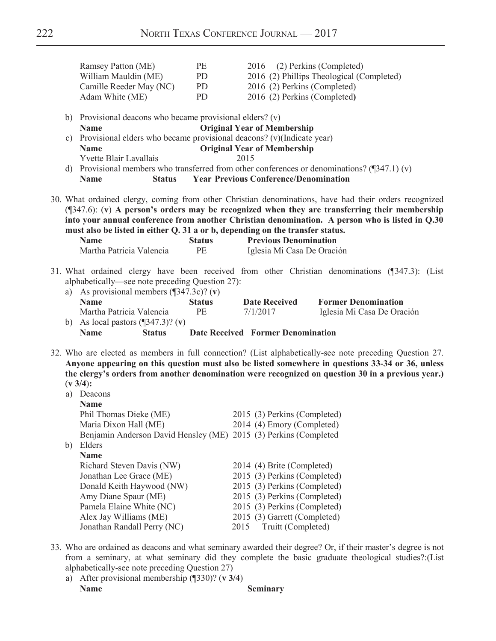|                | Ramsey Patton (ME)                                                            | PE                  | 2016                                         | (2) Perkins (Completed)                                                                                                                                                                                                                                                                                          |  |
|----------------|-------------------------------------------------------------------------------|---------------------|----------------------------------------------|------------------------------------------------------------------------------------------------------------------------------------------------------------------------------------------------------------------------------------------------------------------------------------------------------------------|--|
|                | William Mauldin (ME)                                                          | PD                  |                                              | 2016 (2) Phillips Theological (Completed)                                                                                                                                                                                                                                                                        |  |
|                | Camille Reeder May (NC)                                                       | PD                  | 2016 (2) Perkins (Completed)                 |                                                                                                                                                                                                                                                                                                                  |  |
|                | Adam White (ME)                                                               | PD                  | 2016 (2) Perkins (Completed)                 |                                                                                                                                                                                                                                                                                                                  |  |
| b)             | Provisional deacons who became provisional elders? (v)                        |                     |                                              |                                                                                                                                                                                                                                                                                                                  |  |
|                | <b>Name</b>                                                                   |                     | <b>Original Year of Membership</b>           |                                                                                                                                                                                                                                                                                                                  |  |
| $\mathbf{c}$ ) | Provisional elders who became provisional deacons? (v)(Indicate year)         |                     |                                              |                                                                                                                                                                                                                                                                                                                  |  |
|                | <b>Name</b>                                                                   |                     | <b>Original Year of Membership</b>           |                                                                                                                                                                                                                                                                                                                  |  |
|                | Yvette Blair Lavallais                                                        |                     | 2015                                         |                                                                                                                                                                                                                                                                                                                  |  |
|                |                                                                               |                     |                                              | d) Provisional members who transferred from other conferences or denominations? $(\sqrt{347.1})(v)$                                                                                                                                                                                                              |  |
|                | <b>Name</b><br><b>Status</b>                                                  |                     | <b>Year Previous Conference/Denomination</b> |                                                                                                                                                                                                                                                                                                                  |  |
|                | must also be listed in either Q. 31 a or b, depending on the transfer status. |                     |                                              | 30. What ordained clergy, coming from other Christian denominations, have had their orders recognized<br>(1347.6): (v) A person's orders may be recognized when they are transferring their membership<br>into your annual conference from another Christian denomination. A person who is listed in Q.30        |  |
|                | <b>Name</b>                                                                   | <b>Status</b>       | <b>Previous Denomination</b>                 |                                                                                                                                                                                                                                                                                                                  |  |
|                | Martha Patricia Valencia                                                      | PE                  | Iglesia Mi Casa De Oración                   |                                                                                                                                                                                                                                                                                                                  |  |
|                | Martha Patricia Valencia<br>b) As local pastors $(\sqrt{347.3})$ ? (v)        | <b>Status</b><br>PE | <b>Date Received</b><br>7/1/2017             | <b>Former Denomination</b><br>Iglesia Mi Casa De Oración                                                                                                                                                                                                                                                         |  |
|                | <b>Name</b><br><b>Status</b>                                                  |                     | <b>Date Received Former Denomination</b>     |                                                                                                                                                                                                                                                                                                                  |  |
|                |                                                                               |                     |                                              |                                                                                                                                                                                                                                                                                                                  |  |
|                | $(v 3/4)$ :<br>a) Deacons<br><b>Name</b>                                      |                     |                                              | 32. Who are elected as members in full connection? (List alphabetically-see note preceding Question 27.<br>Anyone appearing on this question must also be listed somewhere in questions 33-34 or 36, unless<br>the clergy's orders from another denomination were recognized on question 30 in a previous year.) |  |
|                | Phil Thomas Dieke (ME)                                                        |                     | 2015 (3) Perkins (Completed)                 |                                                                                                                                                                                                                                                                                                                  |  |
|                | Maria Dixon Hall (ME)                                                         |                     | 2014 (4) Emory (Completed)                   |                                                                                                                                                                                                                                                                                                                  |  |
|                | Benjamin Anderson David Hensley (ME) 2015 (3) Perkins (Completed              |                     |                                              |                                                                                                                                                                                                                                                                                                                  |  |
|                | b) Elders                                                                     |                     |                                              |                                                                                                                                                                                                                                                                                                                  |  |
|                | <b>Name</b>                                                                   |                     |                                              |                                                                                                                                                                                                                                                                                                                  |  |
|                | Richard Steven Davis (NW)                                                     |                     | 2014 (4) Brite (Completed)                   |                                                                                                                                                                                                                                                                                                                  |  |
|                | Jonathan Lee Grace (ME)                                                       |                     | 2015 (3) Perkins (Completed)                 |                                                                                                                                                                                                                                                                                                                  |  |
|                | Donald Keith Haywood (NW)                                                     |                     | 2015 (3) Perkins (Completed)                 |                                                                                                                                                                                                                                                                                                                  |  |
|                | Amy Diane Spaur (ME)                                                          |                     | 2015 (3) Perkins (Completed)                 |                                                                                                                                                                                                                                                                                                                  |  |
|                | Pamela Elaine White (NC)                                                      |                     | 2015 (3) Perkins (Completed)                 |                                                                                                                                                                                                                                                                                                                  |  |
|                | Alex Jay Williams (ME)                                                        |                     | 2015 (3) Garrett (Completed)                 |                                                                                                                                                                                                                                                                                                                  |  |
|                | Jonathan Randall Perry (NC)                                                   |                     | Truitt (Completed)<br>2015                   |                                                                                                                                                                                                                                                                                                                  |  |

- 33. Who are ordained as deacons and what seminary awarded their degree? Or, if their master's degree is not from a seminary, at what seminary did they complete the basic graduate theological studies?:(List alphabetically-see note preceding Question 27)
	- a) After provisional membership (¶330)? (**v 3/4**) **Name Seminary**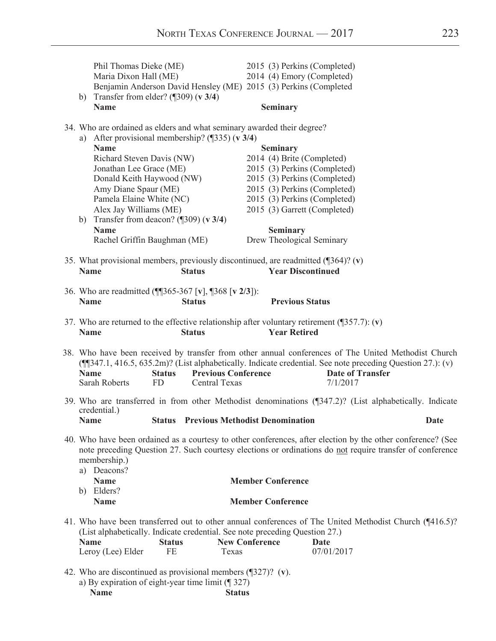|             | Phil Thomas Dieke (ME)<br>Maria Dixon Hall (ME)                                                                                                                                                                    |                     |                                             | 2014 (4) Emory (Completed)<br>Benjamin Anderson David Hensley (ME) 2015 (3) Perkins (Completed | 2015 (3) Perkins (Completed)                                                                                                                                                                                                                            |             |
|-------------|--------------------------------------------------------------------------------------------------------------------------------------------------------------------------------------------------------------------|---------------------|---------------------------------------------|------------------------------------------------------------------------------------------------|---------------------------------------------------------------------------------------------------------------------------------------------------------------------------------------------------------------------------------------------------------|-------------|
|             | b) Transfer from elder? $(\sqrt{309})(\sqrt{3}/4)$<br><b>Name</b>                                                                                                                                                  |                     |                                             | <b>Seminary</b>                                                                                |                                                                                                                                                                                                                                                         |             |
| a)          | 34. Who are ordained as elders and what seminary awarded their degree?<br>After provisional membership? $(\sqrt{335})$ (v 3/4)<br><b>Name</b>                                                                      |                     |                                             | <b>Seminary</b>                                                                                |                                                                                                                                                                                                                                                         |             |
|             | Richard Steven Davis (NW)<br>Jonathan Lee Grace (ME)<br>Donald Keith Haywood (NW)<br>Amy Diane Spaur (ME)<br>Pamela Elaine White (NC)<br>Alex Jay Williams (ME)<br>b) Transfer from deacon? $(\sqrt{309})$ (v 3/4) |                     |                                             | 2014 (4) Brite (Completed)                                                                     | 2015 (3) Perkins (Completed)<br>2015 (3) Perkins (Completed)<br>2015 (3) Perkins (Completed)<br>2015 (3) Perkins (Completed)<br>2015 (3) Garrett (Completed)                                                                                            |             |
|             | <b>Name</b><br>Rachel Griffin Baughman (ME)                                                                                                                                                                        |                     |                                             | <b>Seminary</b><br>Drew Theological Seminary                                                   |                                                                                                                                                                                                                                                         |             |
| <b>Name</b> |                                                                                                                                                                                                                    |                     | <b>Status</b>                               |                                                                                                | 35. What provisional members, previously discontinued, are readmitted $(\sqrt{364})$ ? (v)<br><b>Year Discontinued</b>                                                                                                                                  |             |
| <b>Name</b> | 36. Who are readmitted (¶[365-367 [v], ¶368 [v 2/3]):                                                                                                                                                              |                     | <b>Status</b>                               | <b>Previous Status</b>                                                                         |                                                                                                                                                                                                                                                         |             |
| <b>Name</b> |                                                                                                                                                                                                                    |                     | <b>Status</b>                               | <b>Year Retired</b>                                                                            | 37. Who are returned to the effective relationship after voluntary retirement $(\sqrt{357.7})$ : (v)                                                                                                                                                    |             |
| <b>Name</b> | Sarah Roberts                                                                                                                                                                                                      | <b>Status</b><br>FD | <b>Previous Conference</b><br>Central Texas |                                                                                                | 38. Who have been received by transfer from other annual conferences of The United Methodist Church<br>(1347.1, 416.5, 635.2m)? (List alphabetically. Indicate credential. See note preceding Question 27.): (v)<br><b>Date of Transfer</b><br>7/1/2017 |             |
| <b>Name</b> | credential.)                                                                                                                                                                                                       |                     |                                             | <b>Status</b> Previous Methodist Denomination                                                  | 39. Who are transferred in from other Methodist denominations (¶347.2)? (List alphabetically. Indicate                                                                                                                                                  | <b>Date</b> |
|             | membership.)<br>a) Deacons?                                                                                                                                                                                        |                     |                                             |                                                                                                | 40. Who have been ordained as a courtesy to other conferences, after election by the other conference? (See<br>note preceding Question 27. Such courtesy elections or ordinations do not require transfer of conference                                 |             |
|             | <b>Name</b><br>b) Elders?                                                                                                                                                                                          |                     |                                             | <b>Member Conference</b>                                                                       |                                                                                                                                                                                                                                                         |             |
|             | <b>Name</b>                                                                                                                                                                                                        |                     |                                             | <b>Member Conference</b>                                                                       |                                                                                                                                                                                                                                                         |             |
| <b>Name</b> | (List alphabetically. Indicate credential. See note preceding Question 27.)                                                                                                                                        | <b>Status</b>       |                                             | <b>New Conference</b>                                                                          | 41. Who have been transferred out to other annual conferences of The United Methodist Church (¶416.5)?<br>Date                                                                                                                                          |             |
|             | Leroy (Lee) Elder                                                                                                                                                                                                  | FE                  | Texas                                       |                                                                                                | 07/01/2017                                                                                                                                                                                                                                              |             |

42. Who are discontinued as provisional members (¶327)? (**v**). a) By expiration of eight-year time limit  $(\sqrt{\phantom{a}327})^n$ <br>Name Status **Name Status**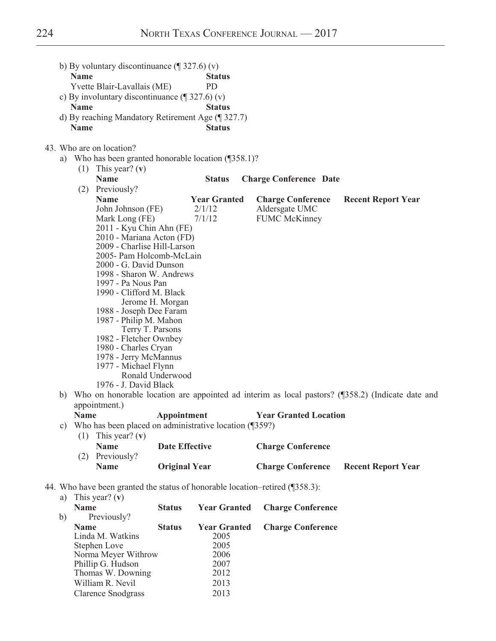|    | <b>Name</b> | b) By voluntary discontinuance $(\sqrt{\phantom{a}}\,327.6)(v)$<br>Yvette Blair-Lavallais (ME) |                       | <b>Status</b><br><b>PD</b> |                                                                              |                                                                                                  |
|----|-------------|------------------------------------------------------------------------------------------------|-----------------------|----------------------------|------------------------------------------------------------------------------|--------------------------------------------------------------------------------------------------|
|    |             | c) By involuntary discontinuance $(\sqrt{\phantom{a}}\,327.6)(v)$                              |                       |                            |                                                                              |                                                                                                  |
|    | <b>Name</b> |                                                                                                |                       | <b>Status</b>              |                                                                              |                                                                                                  |
|    |             | d) By reaching Mandatory Retirement Age (¶ 327.7)                                              |                       |                            |                                                                              |                                                                                                  |
|    | <b>Name</b> |                                                                                                |                       | <b>Status</b>              |                                                                              |                                                                                                  |
|    |             |                                                                                                |                       |                            |                                                                              |                                                                                                  |
|    |             | 43. Who are on location?<br>a) Who has been granted honorable location (1358.1)?               |                       |                            |                                                                              |                                                                                                  |
|    |             | (1) This year? (v)                                                                             |                       |                            |                                                                              |                                                                                                  |
|    |             | <b>Name</b>                                                                                    |                       | <b>Status</b>              | <b>Charge Conference Date</b>                                                |                                                                                                  |
|    |             | (2) Previously?                                                                                |                       |                            |                                                                              |                                                                                                  |
|    |             | <b>Name</b>                                                                                    |                       | <b>Year Granted</b>        | <b>Charge Conference</b>                                                     | <b>Recent Report Year</b>                                                                        |
|    |             | John Johnson (FE)                                                                              |                       | 2/1/12                     | Aldersgate UMC                                                               |                                                                                                  |
|    |             | Mark Long (FE)                                                                                 |                       | 7/1/12                     | <b>FUMC McKinney</b>                                                         |                                                                                                  |
|    |             | 2011 - Kyu Chin Ahn (FE)                                                                       |                       |                            |                                                                              |                                                                                                  |
|    |             | 2010 - Mariana Acton (FD)                                                                      |                       |                            |                                                                              |                                                                                                  |
|    |             | 2009 - Charlise Hill-Larson                                                                    |                       |                            |                                                                              |                                                                                                  |
|    |             | 2005- Pam Holcomb-McLain                                                                       |                       |                            |                                                                              |                                                                                                  |
|    |             | 2000 - G. David Dunson                                                                         |                       |                            |                                                                              |                                                                                                  |
|    |             | 1998 - Sharon W. Andrews                                                                       |                       |                            |                                                                              |                                                                                                  |
|    |             | 1997 - Pa Nous Pan                                                                             |                       |                            |                                                                              |                                                                                                  |
|    |             | 1990 - Clifford M. Black                                                                       |                       |                            |                                                                              |                                                                                                  |
|    |             | 1988 - Joseph Dee Faram                                                                        | Jerome H. Morgan      |                            |                                                                              |                                                                                                  |
|    |             | 1987 - Philip M. Mahon                                                                         |                       |                            |                                                                              |                                                                                                  |
|    |             |                                                                                                | Terry T. Parsons      |                            |                                                                              |                                                                                                  |
|    |             | 1982 - Fletcher Ownbey                                                                         |                       |                            |                                                                              |                                                                                                  |
|    |             | 1980 - Charles Cryan                                                                           |                       |                            |                                                                              |                                                                                                  |
|    |             | 1978 - Jerry McMannus                                                                          |                       |                            |                                                                              |                                                                                                  |
|    |             | 1977 - Michael Flynn                                                                           |                       |                            |                                                                              |                                                                                                  |
|    |             |                                                                                                | Ronald Underwood      |                            |                                                                              |                                                                                                  |
|    |             | 1976 - J. David Black                                                                          |                       |                            |                                                                              |                                                                                                  |
| b) |             |                                                                                                |                       |                            |                                                                              | Who on honorable location are appointed ad interim as local pastors? (¶358.2) (Indicate date and |
|    |             | appointment.)                                                                                  |                       |                            |                                                                              |                                                                                                  |
|    | <b>Name</b> |                                                                                                | Appointment           |                            | <b>Year Granted Location</b>                                                 |                                                                                                  |
| C) |             | Who has been placed on administrative location (¶359?)                                         |                       |                            |                                                                              |                                                                                                  |
|    | (1)         | This year? $(v)$<br><b>Name</b>                                                                | <b>Date Effective</b> |                            |                                                                              |                                                                                                  |
|    |             |                                                                                                |                       |                            | <b>Charge Conference</b>                                                     |                                                                                                  |
|    |             | (2) Previously?<br><b>Name</b>                                                                 |                       |                            |                                                                              |                                                                                                  |
|    |             |                                                                                                | <b>Original Year</b>  |                            | <b>Charge Conference</b>                                                     | <b>Recent Report Year</b>                                                                        |
|    |             |                                                                                                |                       |                            | 44. Who have been granted the status of honorable location-retired (1358.3): |                                                                                                  |
| a) |             | This year? $(v)$                                                                               |                       |                            |                                                                              |                                                                                                  |
|    | <b>Name</b> |                                                                                                | <b>Status</b>         | <b>Year Granted</b>        | <b>Charge Conference</b>                                                     |                                                                                                  |
| b) |             | Previously?                                                                                    |                       |                            |                                                                              |                                                                                                  |
|    | <b>Name</b> |                                                                                                | <b>Status</b>         | <b>Year Granted</b>        | <b>Charge Conference</b>                                                     |                                                                                                  |
|    |             | Linda M. Watkins                                                                               |                       | 2005                       |                                                                              |                                                                                                  |
|    |             | Stephen Love                                                                                   |                       | 2005                       |                                                                              |                                                                                                  |
|    |             | Norma Meyer Withrow                                                                            |                       | 2006                       |                                                                              |                                                                                                  |
|    |             | Phillip G. Hudson                                                                              |                       | 2007                       |                                                                              |                                                                                                  |

Thomas W. Downing 2012 William R. Nevil 2013<br>Clarence Snodgrass 2013

Clarence Snodgrass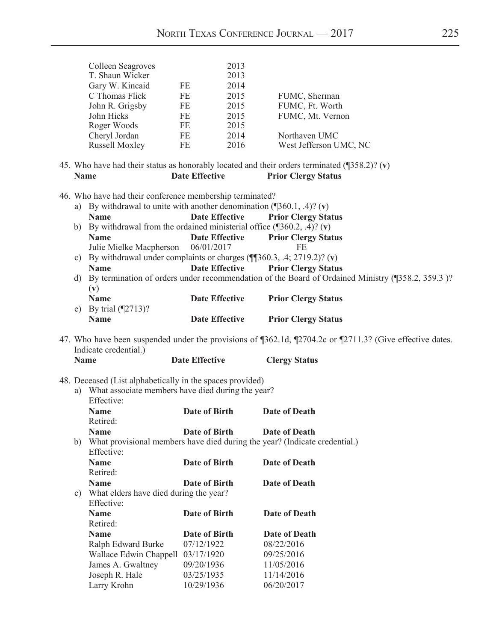| Colleen Seagroves<br>T. Shaun Wicker<br>Gary W. Kincaid<br>C Thomas Flick<br>John R. Grigsby<br>John Hicks<br>Roger Woods<br>Cheryl Jordan<br><b>Russell Moxley</b><br><b>Name</b> | 2013<br>2013<br>2014<br>2015<br>2015<br>2015<br>2015<br>2014<br>2016                                                                    | FUMC, Sherman<br>FUMC, Ft. Worth<br>FUMC, Mt. Vernon<br>Northaven UMC<br>West Jefferson UMC, NC<br><b>Prior Clergy Status</b>                                                                                                                                                                                                                                                                                                                                                                                                                                                                                                                                                                                                                                                                                                                       |
|------------------------------------------------------------------------------------------------------------------------------------------------------------------------------------|-----------------------------------------------------------------------------------------------------------------------------------------|-----------------------------------------------------------------------------------------------------------------------------------------------------------------------------------------------------------------------------------------------------------------------------------------------------------------------------------------------------------------------------------------------------------------------------------------------------------------------------------------------------------------------------------------------------------------------------------------------------------------------------------------------------------------------------------------------------------------------------------------------------------------------------------------------------------------------------------------------------|
| <b>Name</b><br><b>Name</b><br>C)<br><b>Name</b><br>d)<br>(v)<br><b>Name</b><br>By trial $(\sqrt{2713})$ ?<br>e)<br><b>Name</b>                                                     | <b>Date Effective</b><br><b>Date Effective</b><br>06/01/2017<br><b>Date Effective</b><br><b>Date Effective</b><br><b>Date Effective</b> | <b>Prior Clergy Status</b><br><b>Prior Clergy Status</b><br>FE<br><b>Prior Clergy Status</b><br>By termination of orders under recommendation of the Board of Ordained Ministry (¶358.2, 359.3)?<br><b>Prior Clergy Status</b><br><b>Prior Clergy Status</b>                                                                                                                                                                                                                                                                                                                                                                                                                                                                                                                                                                                        |
| Indicate credential.)<br><b>Name</b>                                                                                                                                               |                                                                                                                                         | 47. Who have been suspended under the provisions of ¶362.1d, ¶2704.2c or ¶2711.3? (Give effective dates.<br><b>Clergy Status</b>                                                                                                                                                                                                                                                                                                                                                                                                                                                                                                                                                                                                                                                                                                                    |
| Effective:<br><b>Name</b><br>Retired:<br><b>Name</b><br>Effective:                                                                                                                 | <b>Date of Birth</b><br><b>Date of Birth</b>                                                                                            | <b>Date of Death</b><br><b>Date of Death</b><br>Date of Death                                                                                                                                                                                                                                                                                                                                                                                                                                                                                                                                                                                                                                                                                                                                                                                       |
| Retired:<br><b>Name</b><br>c)<br>Effective:<br><b>Name</b><br>Retired:<br><b>Name</b><br>Ralph Edward Burke                                                                        | <b>Date of Birth</b><br><b>Date of Birth</b><br><b>Date of Birth</b><br>07/12/1922                                                      | <b>Date of Death</b><br><b>Date of Death</b><br><b>Date of Death</b><br>08/22/2016<br>09/25/2016                                                                                                                                                                                                                                                                                                                                                                                                                                                                                                                                                                                                                                                                                                                                                    |
|                                                                                                                                                                                    | <b>Name</b>                                                                                                                             | FE<br>FE<br>FE<br>FE<br>FE<br>FE<br>FE<br>45. Who have had their status as honorably located and their orders terminated $(\sqrt{358.2})$ ? (v)<br><b>Date Effective</b><br>46. Who have had their conference membership terminated?<br>a) By withdrawal to unite with another denomination $(\sqrt{360.1}, .4)$ ? (v)<br>b) By withdrawal from the ordained ministerial office $(\text{S}60.2, .4)$ ? (v)<br>Julie Mielke Macpherson<br>By withdrawal under complaints or charges $(\P$ 360.3, .4; 2719.2)? (v)<br><b>Date Effective</b><br>48. Deceased (List alphabetically in the spaces provided)<br>a) What associate members have died during the year?<br>What provisional members have died during the year? (Indicate credential.)<br><b>Date of Birth</b><br>What elders have died during the year?<br>Wallace Edwin Chappell 03/17/1920 |

James A. Gwaltney 09/20/1936 11/05/2016<br>Joseph R. Hale 03/25/1935 11/14/2016 Joseph R. Hale 03/25/1935 11/14/2016<br>Larry Krohn 10/29/1936 06/20/2017

Larry Krohn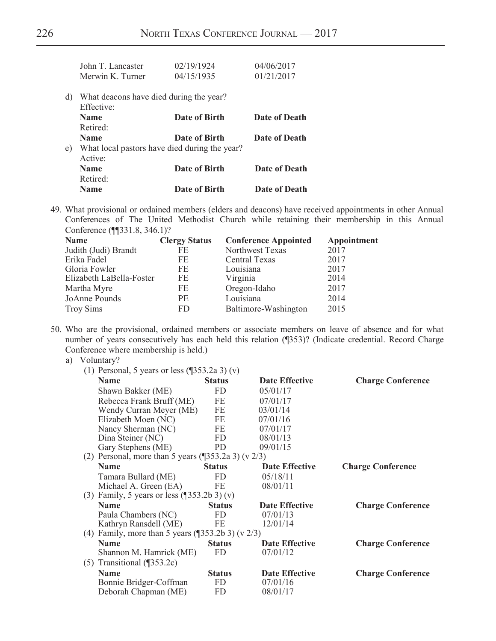|    | John T. Lancaster                       | 02/19/1924                                    | 04/06/2017    |
|----|-----------------------------------------|-----------------------------------------------|---------------|
|    | Merwin K. Turner                        | 04/15/1935                                    | 01/21/2017    |
| d) | What deacons have died during the year? |                                               |               |
|    | Effective:                              |                                               |               |
|    | <b>Name</b>                             | Date of Birth                                 | Date of Death |
|    | Retired:                                |                                               |               |
|    | <b>Name</b>                             | Date of Birth                                 | Date of Death |
| e) |                                         | What local pastors have died during the year? |               |
|    | Active:                                 |                                               |               |
|    | <b>Name</b>                             | Date of Birth                                 | Date of Death |
|    | Retired:                                |                                               |               |
|    | <b>Name</b>                             | Date of Birth                                 | Date of Death |
|    |                                         |                                               |               |

49. What provisional or ordained members (elders and deacons) have received appointments in other Annual Conferences of The United Methodist Church while retaining their membership in this Annual Conference (¶¶331.8, 346.1)?

| <b>Name</b>              | <b>Clergy Status</b> | <b>Conference Appointed</b> | Appointment |
|--------------------------|----------------------|-----------------------------|-------------|
| Judith (Judi) Brandt     | FE.                  | Northwest Texas             | 2017        |
| Erika Fadel              | FE.                  | <b>Central Texas</b>        | 2017        |
| Gloria Fowler            | FE                   | Louisiana                   | 2017        |
| Elizabeth LaBella-Foster | FE                   | Virginia                    | 2014        |
| Martha Myre              | FE                   | Oregon-Idaho                | 2017        |
| JoAnne Pounds            | <b>PE</b>            | Louisiana                   | 2014        |
| <b>Troy Sims</b>         | FD.                  | Baltimore-Washington        | 2015        |

50. Who are the provisional, ordained members or associate members on leave of absence and for what number of years consecutively has each held this relation (¶353)? (Indicate credential. Record Charge Conference where membership is held.)

| a) | Voluntary? |
|----|------------|
|    |            |

| (1) Personal, 5 years or less $(\sqrt{353.2a 3})(v)$     |                       |                                                                                                                                |
|----------------------------------------------------------|-----------------------|--------------------------------------------------------------------------------------------------------------------------------|
| <b>Status</b>                                            | <b>Date Effective</b> | <b>Charge Conference</b>                                                                                                       |
| <b>FD</b>                                                | 05/01/17              |                                                                                                                                |
| FE<br>Rebecca Frank Bruff (ME)                           | 07/01/17              |                                                                                                                                |
| FE<br>Wendy Curran Meyer (ME)                            | 03/01/14              |                                                                                                                                |
| FE                                                       | 07/01/16              |                                                                                                                                |
| FE                                                       | 07/01/17              |                                                                                                                                |
| FD                                                       | 08/01/13              |                                                                                                                                |
| PD                                                       | 09/01/15              |                                                                                                                                |
|                                                          |                       |                                                                                                                                |
| <b>Status</b>                                            | <b>Date Effective</b> | <b>Charge Conference</b>                                                                                                       |
| <b>FD</b>                                                | 05/18/11              |                                                                                                                                |
| Michael A. Green (EA)<br>FE                              | 08/01/11              |                                                                                                                                |
| (3) Family, 5 years or less $(\sqrt{353.2b} \cdot 3)(v)$ |                       |                                                                                                                                |
| <b>Status</b>                                            | <b>Date Effective</b> | <b>Charge Conference</b>                                                                                                       |
| FD                                                       | 07/01/13              |                                                                                                                                |
| Kathryn Ransdell (ME)<br>FE                              | 12/01/14              |                                                                                                                                |
|                                                          |                       |                                                                                                                                |
| <b>Status</b>                                            | <b>Date Effective</b> | <b>Charge Conference</b>                                                                                                       |
| FD<br>Shannon M. Hamrick (ME)                            | 07/01/12              |                                                                                                                                |
|                                                          |                       |                                                                                                                                |
| <b>Status</b>                                            | <b>Date Effective</b> | <b>Charge Conference</b>                                                                                                       |
| Bonnie Bridger-Coffman<br>FD                             | 07/01/16              |                                                                                                                                |
| Deborah Chapman (ME)<br>FD                               | 08/01/17              |                                                                                                                                |
|                                                          |                       | (2) Personal, more than 5 years $(\sqrt{353.2a 3})$ (v 2/3)<br>(4) Family, more than 5 years $(\sqrt{353.2b} \cdot 3)$ (v 2/3) |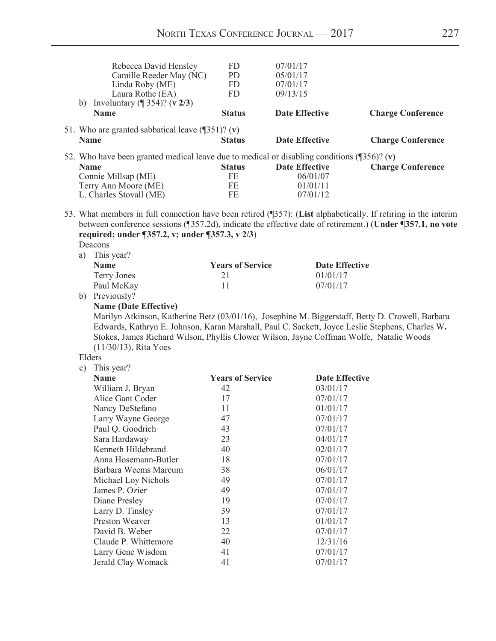|    | Rebecca David Hensley                                                                                                                                                                                                                                                                                                      | FD                      | 07/01/17              |                          |
|----|----------------------------------------------------------------------------------------------------------------------------------------------------------------------------------------------------------------------------------------------------------------------------------------------------------------------------|-------------------------|-----------------------|--------------------------|
|    | Camille Reeder May (NC)                                                                                                                                                                                                                                                                                                    | <b>PD</b>               | 05/01/17              |                          |
|    | Linda Roby (ME)                                                                                                                                                                                                                                                                                                            | <b>FD</b>               | 07/01/17              |                          |
|    | Laura Rothe (EA)                                                                                                                                                                                                                                                                                                           | <b>FD</b>               | 09/13/15              |                          |
|    | b) Involuntary ( $\sqrt{354}$ )? (v 2/3)                                                                                                                                                                                                                                                                                   |                         |                       |                          |
|    | <b>Name</b>                                                                                                                                                                                                                                                                                                                | <b>Status</b>           | <b>Date Effective</b> | <b>Charge Conference</b> |
|    | 51. Who are granted sabbatical leave $(\sqrt{351})$ ? (v)                                                                                                                                                                                                                                                                  |                         |                       |                          |
|    | <b>Name</b>                                                                                                                                                                                                                                                                                                                | <b>Status</b>           | <b>Date Effective</b> | <b>Charge Conference</b> |
|    | 52. Who have been granted medical leave due to medical or disabling conditions $(\sqrt{356})$ ? (v)                                                                                                                                                                                                                        |                         |                       |                          |
|    | <b>Name</b>                                                                                                                                                                                                                                                                                                                | <b>Status</b>           | <b>Date Effective</b> | <b>Charge Conference</b> |
|    | Connie Millsap (ME)                                                                                                                                                                                                                                                                                                        | FE                      | 06/01/07              |                          |
|    | Terry Ann Moore (ME)                                                                                                                                                                                                                                                                                                       | $FE$                    | 01/01/11              |                          |
|    | L. Charles Stovall (ME)                                                                                                                                                                                                                                                                                                    | FE                      | 07/01/12              |                          |
|    | 53. What members in full connection have been retired (¶357): (List alphabetically. If retiring in the interim<br>between conference sessions (¶357.2d), indicate the effective date of retirement.) (Under ¶357.1, no vote<br>required; under ¶357.2, v; under ¶357.3, v 2/3)<br>Deacons                                  |                         |                       |                          |
|    | a) This year?                                                                                                                                                                                                                                                                                                              |                         |                       |                          |
|    | <b>Name</b>                                                                                                                                                                                                                                                                                                                | <b>Years of Service</b> | <b>Date Effective</b> |                          |
|    | <b>Terry Jones</b>                                                                                                                                                                                                                                                                                                         | 21                      | 01/01/17              |                          |
|    | Paul McKay                                                                                                                                                                                                                                                                                                                 | 11                      | 07/01/17              |                          |
| b) | Previously?                                                                                                                                                                                                                                                                                                                |                         |                       |                          |
|    | <b>Name (Date Effective)</b>                                                                                                                                                                                                                                                                                               |                         |                       |                          |
|    | Marilyn Atkinson, Katherine Betz (03/01/16), Josephine M. Biggerstaff, Betty D. Crowell, Barbara<br>Edwards, Kathryn E. Johnson, Karan Marshall, Paul C. Sackett, Joyce Leslie Stephens, Charles W.<br>Stokes, James Richard Wilson, Phyllis Clower Wilson, Jayne Coffman Wolfe, Natalie Woods<br>$(11/30/13)$ , Rita Yoes |                         |                       |                          |
|    | Elders                                                                                                                                                                                                                                                                                                                     |                         |                       |                          |
| c) | This year?                                                                                                                                                                                                                                                                                                                 |                         |                       |                          |
|    | <b>Name</b>                                                                                                                                                                                                                                                                                                                | <b>Years of Service</b> | <b>Date Effective</b> |                          |
|    | William J. Bryan                                                                                                                                                                                                                                                                                                           | 42                      | 03/01/17              |                          |
|    | Alice Gant Coder                                                                                                                                                                                                                                                                                                           | 17                      | 07/01/17              |                          |
|    | Nancy DeStefano                                                                                                                                                                                                                                                                                                            | 11                      | 01/01/17              |                          |
|    | Larry Wayne George                                                                                                                                                                                                                                                                                                         | 47                      | 07/01/17              |                          |
|    | Paul Q. Goodrich                                                                                                                                                                                                                                                                                                           | 43                      | 07/01/17              |                          |
|    | Sara Hardaway                                                                                                                                                                                                                                                                                                              | 23                      | 04/01/17              |                          |
|    | Kenneth Hildebrand                                                                                                                                                                                                                                                                                                         | 40                      | 02/01/17              |                          |
|    | Anna Hosemann-Butler                                                                                                                                                                                                                                                                                                       | 18                      | 07/01/17              |                          |
|    | Barbara Weems Marcum                                                                                                                                                                                                                                                                                                       | 38                      | 06/01/17              |                          |
|    | Michael Loy Nichols                                                                                                                                                                                                                                                                                                        | 49                      | 07/01/17              |                          |
|    | James P. Ozier                                                                                                                                                                                                                                                                                                             | 49                      | 07/01/17              |                          |
|    | Diane Presley                                                                                                                                                                                                                                                                                                              | 19                      | 07/01/17              |                          |
|    | Larry D. Tinsley                                                                                                                                                                                                                                                                                                           | 39                      | 07/01/17              |                          |
|    | Preston Weaver                                                                                                                                                                                                                                                                                                             | 13                      | 01/01/17              |                          |
|    | David B. Weber                                                                                                                                                                                                                                                                                                             | 22                      | 07/01/17              |                          |
|    | Claude P. Whittemore                                                                                                                                                                                                                                                                                                       | 40                      | 12/31/16              |                          |
|    | Larry Gene Wisdom                                                                                                                                                                                                                                                                                                          | 41                      | 07/01/17              |                          |
|    | Jerald Clay Womack                                                                                                                                                                                                                                                                                                         | 41                      | 07/01/17              |                          |
|    |                                                                                                                                                                                                                                                                                                                            |                         |                       |                          |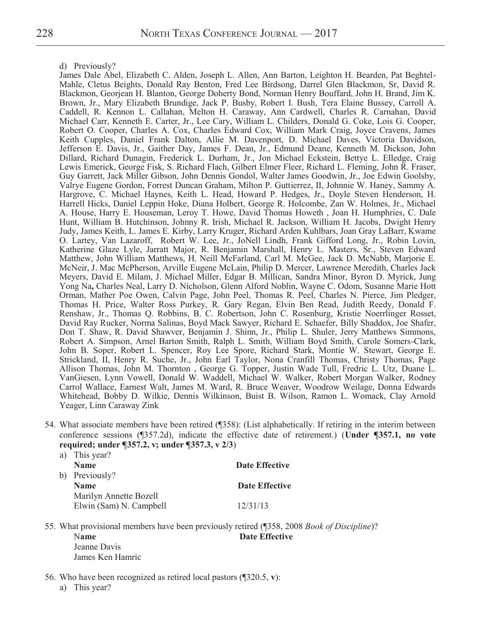d) Previously?

James Dale Abel, Elizabeth C. Alden, Joseph L. Allen, Ann Barton, Leighton H. Bearden, Pat Beghtel-Mahle, Cletus Beights, Donald Ray Benton, Fred Lee Birdsong, Darrel Glen Blackmon, Sr, David R. Blackmon, Georjean H. Blanton, George Doherty Bond, Norman Henry Bouffard, John H. Brand, Jim K. Brown, Jr., Mary Elizabeth Brundige, Jack P. Busby, Robert I. Bush, Tera Elaine Bussey, Carroll A. Caddell, R. Kennon L. Callahan, Melton H. Caraway, Ann Cardwell, Charles R. Carnahan, David Michael Carr, Kenneth E. Carter, Jr., Lee Cary, William L. Childers, Donald G. Coke, Lois G. Cooper, Robert O. Cooper, Charles A. Cox, Charles Edward Cox, William Mark Craig, Joyce Cravens, James Keith Cupples, Daniel Frank Dalton, Allie M. Davenport, D. Michael Daves, Victoria Davidson, Jefferson E. Davis, Jr., Gaither Day, James F. Dean, Jr., Edmund Deane, Kenneth M. Dickson, John Dillard, Richard Dunagin, Frederick L. Durham, Jr., Jon Michael Eckstein, Bettye L. Elledge, Craig Lewis Emerick, George Fisk, S. Richard Flach, Gilbert Elmer Fleer, Richard L. Fleming, John R. Fraser, Guy Garrett, Jack Miller Gibson, John Dennis Gondol, Walter James Goodwin, Jr., Joe Edwin Goolsby, Valrye Eugene Gordon, Forrest Duncan Graham, Milton P. Guttierrez, II, Johnnie W. Haney, Sammy A. Hargrove, C. Michael Haynes, Keith L. Head, Howard P. Hedges, Jr., Doyle Steven Henderson, H. Harrell Hicks, Daniel Leppin Hoke, Diana Holbert, George R. Holcombe, Zan W. Holmes, Jr., Michael A. House, Harry E. Houseman, Leroy T. Howe, David Thomas Howeth , Joan H. Humphries, C. Dale Hunt, William B. Hutchinson, Johnny R. Irish, Michael R. Jackson, William H. Jacobs, Dwight Henry Judy, James Keith, L. James E. Kirby, Larry Kruger, Richard Arden Kuhlbars, Joan Gray LaBarr, Kwame O. Lartey, Van Lazaroff, Robert W. Lee, Jr., JoNell Lindh, Frank Gifford Long, Jr., Robin Lovin, Katherine Glaze Lyle, Jarratt Major, R. Benjamin Marshall, Henry L. Masters, Sr., Steven Edward Matthew, John William Matthews, H. Neill McFarland, Carl M. McGee, Jack D. McNabb, Marjorie E. McNeir, J. Mac McPherson, Arville Eugene McLain, Philip D. Mercer, Lawrence Meredith, Charles Jack Meyers, David E. Milam, J. Michael Miller, Edgar B. Millican, Sandra Minor, Byron D. Myrick, Jung Yong Na**,** Charles Neal, Larry D. Nicholson, Glenn Alford Noblin, Wayne C. Odom, Susanne Marie Hott Orman, Mather Poe Owen, Calvin Page, John Peel, Thomas R. Peel, Charles N. Pierce, Jim Pledger, Thomas H. Price, Walter Ross Purkey, R. Gary Regan, Elvin Ben Read, Judith Reedy, Donald F. Renshaw, Jr., Thomas Q. Robbins, B. C. Robertson, John C. Rosenburg, Kristie Noerrlinger Rosset, David Ray Rucker, Norma Salinas, Boyd Mack Sawyer, Richard E. Schaefer, Billy Shaddox, Joe Shafer, Don T. Shaw, R. David Shawver, Benjamin J. Shinn, Jr., Philip L. Shuler, Jerry Matthews Simmons, Robert A. Simpson, Arnel Barton Smith, Ralph L. Smith, William Boyd Smith, Carole Somers-Clark, John B. Soper, Robert L. Spencer, Roy Lee Spore, Richard Stark, Montie W. Stewart, George E. Strickland, II, Henry R. Suche, Jr., John Earl Taylor, Nona Cranfill Thomas, Christy Thomas, Page Allison Thomas, John M. Thornton , George G. Topper, Justin Wade Tull, Fredric L. Utz, Duane L. VanGiesen, Lynn Vowell, Donald W. Waddell, Michael W. Walker, Robert Morgan Walker, Rodney Carrol Wallace, Earnest Walt, James M. Ward, R. Bruce Weaver, Woodrow Weilage, Donna Edwards Whitehead, Bobby D. Wilkie, Dennis Wilkinson, Buist B. Wilson, Ramon L. Womack, Clay Arnold Yeager, Linn Caraway Zink

54. What associate members have been retired (¶358): (List alphabetically. If retiring in the interim between conference sessions (¶357.2d), indicate the effective date of retirement.) (**Under ¶357.1, no vote required; under ¶357.2, v; under ¶357.3, v 2/3**) a) This year?

| <b>Date Effective</b> |
|-----------------------|
|                       |
| Date Effective        |
|                       |
| 12/31/13              |
|                       |

55. What provisional members have been previously retired (¶358, 2008 *Book of Discipline*)? Name Date Effective Jeanne Davis James Ken Hamric

- 56. Who have been recognized as retired local pastors (¶320.5, **v**):
	- a) This year?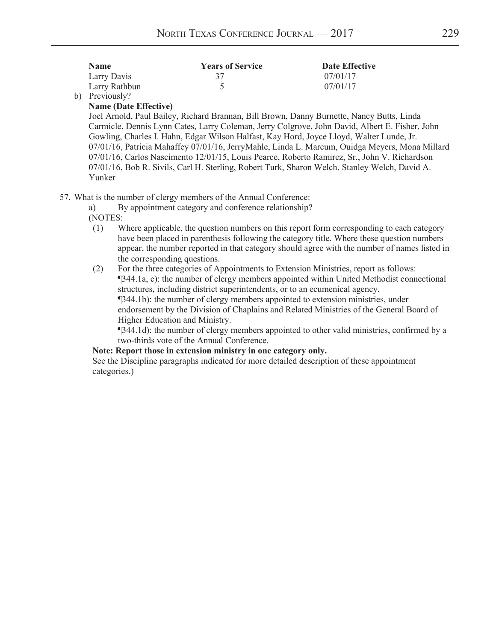| <b>Name</b>              | <b>Years of Service</b> | Date Effective |
|--------------------------|-------------------------|----------------|
| Larry Davis              |                         | 07/01/17       |
| Larry Rathbun            |                         | 07/01/17       |
| $\mathbf{L}$ Designate 0 |                         |                |

#### b) Previously? **Name (Date Effective)**

Joel Arnold, Paul Bailey, Richard Brannan, Bill Brown, Danny Burnette, Nancy Butts, Linda Carmicle, Dennis Lynn Cates, Larry Coleman, Jerry Colgrove, John David, Albert E. Fisher, John Gowling, Charles I. Hahn, Edgar Wilson Halfast, Kay Hord, Joyce Lloyd, Walter Lunde, Jr. 07/01/16, Patricia Mahaffey 07/01/16, JerryMahle, Linda L. Marcum, Ouidga Meyers, Mona Millard 07/01/16, Carlos Nascimento 12/01/15, Louis Pearce, Roberto Ramirez, Sr., John V. Richardson 07/01/16, Bob R. Sivils, Carl H. Sterling, Robert Turk, Sharon Welch, Stanley Welch, David A. Yunker

57. What is the number of clergy members of the Annual Conference:

a) By appointment category and conference relationship?

(NOTES:

- (1) Where applicable, the question numbers on this report form corresponding to each category have been placed in parenthesis following the category title. Where these question numbers appear, the number reported in that category should agree with the number of names listed in the corresponding questions.
- (2) For the three categories of Appointments to Extension Ministries, report as follows: ¶344.1a, c): the number of clergy members appointed within United Methodist connectional structures, including district superintendents, or to an ecumenical agency. ¶344.1b): the number of clergy members appointed to extension ministries, under endorsement by the Division of Chaplains and Related Ministries of the General Board of Higher Education and Ministry.

¶344.1d): the number of clergy members appointed to other valid ministries, confirmed by a two-thirds vote of the Annual Conference.

#### Note: Report those in extension ministry in one category only.

 See the Discipline paragraphs indicated for more detailed description of these appointment categories.)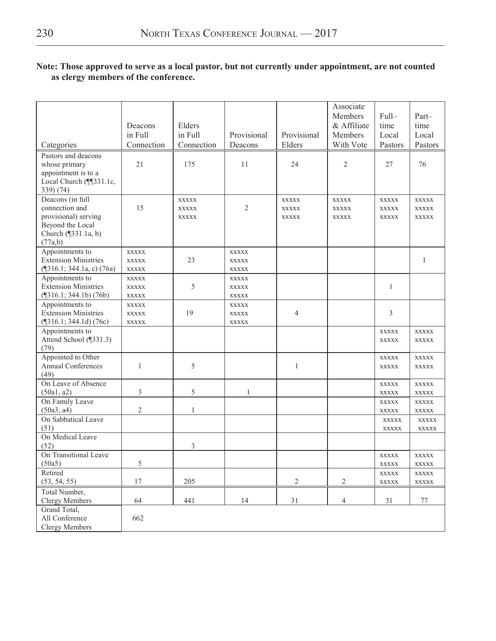### Note: Those approved to serve as a local pastor, but not currently under appointment, are not counted as clergy members of the conference.

|                                                                                                                  | Deacons<br>in Full                           | Elders<br>in Full                            | Provisional                                  | Provisional                                  | Associate<br>Members<br>& Affiliate<br>Members | Full-<br>time<br>Local                       | Part-<br>time<br>Local                       |
|------------------------------------------------------------------------------------------------------------------|----------------------------------------------|----------------------------------------------|----------------------------------------------|----------------------------------------------|------------------------------------------------|----------------------------------------------|----------------------------------------------|
| Categories                                                                                                       | Connection                                   | Connection                                   | Deacons                                      | Elders                                       | With Vote                                      | Pastors                                      | Pastors                                      |
| Pastors and deacons<br>whose primary<br>appointment is to a<br>Local Church (¶[331.1c,<br>339) (74)              | 21                                           | 175                                          | 11                                           | 24                                           | $\overline{2}$                                 | 27                                           | 76                                           |
| Deacons (in full<br>connection and<br>provisional) serving<br>Beyond the Local<br>Church (¶331.1a, b)<br>(77a,b) | 15                                           | <b>XXXXX</b><br><b>XXXXX</b><br><b>XXXXX</b> | $\overline{2}$                               | <b>XXXXX</b><br><b>XXXXX</b><br><b>XXXXX</b> | <b>XXXXX</b><br><b>XXXXX</b><br><b>XXXXX</b>   | <b>XXXXX</b><br><b>XXXXX</b><br><b>XXXXX</b> | <b>XXXXX</b><br><b>XXXXX</b><br><b>XXXXX</b> |
| Appointments to<br><b>Extension Ministries</b><br>$(\text{\textdegree}[316.1; 344.1a, c) (76a))$                 | <b>XXXXX</b><br><b>XXXXX</b><br><b>XXXXX</b> | 23                                           | <b>XXXXX</b><br><b>XXXXX</b><br><b>XXXXX</b> |                                              |                                                |                                              | $\mathbf{1}$                                 |
| Appointments to<br><b>Extension Ministries</b><br>$(\sqrt{316.1}; 344.1b) (76b)$                                 | <b>XXXXX</b><br><b>XXXXX</b><br><b>XXXXX</b> | 5                                            | <b>XXXXX</b><br><b>XXXXX</b><br><b>XXXXX</b> |                                              |                                                | 1                                            |                                              |
| Appointments to<br><b>Extension Ministries</b><br>$(\text{$}316.1; 344.1d)(76c)$                                 | <b>XXXXX</b><br><b>XXXXX</b><br><b>XXXXX</b> | 19                                           | <b>XXXXX</b><br><b>XXXXX</b><br><b>XXXXX</b> | 4                                            |                                                | 3                                            |                                              |
| Appointments to<br>Attend School (¶331.3)<br>(79)                                                                |                                              |                                              |                                              |                                              |                                                | <b>XXXXX</b><br><b>XXXXX</b>                 | <b>XXXXX</b><br>XXXXX                        |
| Appointed to Other<br>Annual Conferences<br>(49)                                                                 | 1                                            | 5                                            |                                              | 1                                            |                                                | <b>XXXXX</b><br><b>XXXXX</b>                 | <b>XXXXX</b><br><b>XXXXX</b>                 |
| On Leave of Absence<br>(50a1, a2)                                                                                | 3                                            | 5                                            | 1                                            |                                              |                                                | <b>XXXXX</b><br><b>XXXXX</b>                 | <b>XXXXX</b><br><b>XXXXX</b>                 |
| On Family Leave<br>(50a3, a4)<br>On Sabbatical Leave                                                             | 2                                            | 1                                            |                                              |                                              |                                                | <b>XXXXX</b><br><b>XXXXX</b>                 | <b>XXXXX</b><br>XXXXX                        |
| (51)                                                                                                             |                                              |                                              |                                              |                                              |                                                | XXXXX<br><b>XXXXX</b>                        | <b>XXXXX</b><br><b>XXXXX</b>                 |
| On Medical Leave<br>(52)                                                                                         |                                              | 3                                            |                                              |                                              |                                                |                                              |                                              |
| On Transitional Leave<br>(50a5)                                                                                  | 5                                            |                                              |                                              |                                              |                                                | <b>XXXXX</b><br>XXXXX                        | <b>XXXXX</b><br>XXXXX                        |
| Retired<br>(53, 54, 55)                                                                                          | 17                                           | 205                                          |                                              | $\sqrt{2}$                                   | $\overline{2}$                                 | XXXXX<br><b>XXXXX</b>                        | <b>XXXXX</b><br>XXXXX                        |
| Total Number,<br><b>Clergy Members</b>                                                                           | 64                                           | 441                                          | 14                                           | 31                                           | $\overline{4}$                                 | 31                                           | $77\,$                                       |
| Grand Total,<br>All Conference<br><b>Clergy Members</b>                                                          | 662                                          |                                              |                                              |                                              |                                                |                                              |                                              |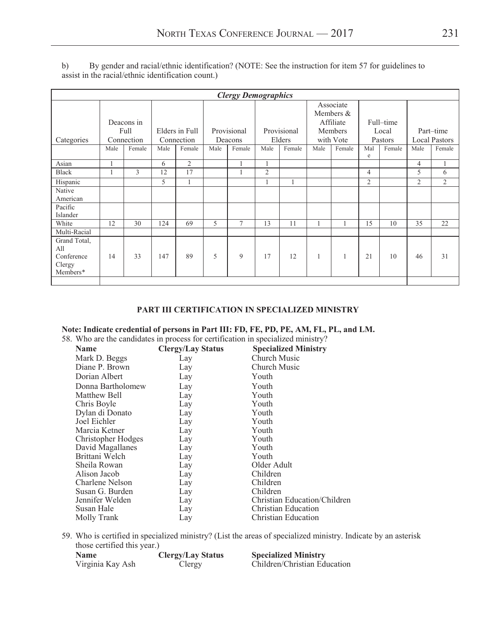|                                                         | <b>Clergy Demographics</b> |            |      |                |      |             |                |             |      |                          |                |           |                |                      |
|---------------------------------------------------------|----------------------------|------------|------|----------------|------|-------------|----------------|-------------|------|--------------------------|----------------|-----------|----------------|----------------------|
|                                                         |                            |            |      |                |      |             |                |             |      | Associate<br>Members $&$ |                |           |                |                      |
|                                                         |                            | Deacons in |      |                |      |             |                |             |      | Affiliate                |                | Full-time |                |                      |
|                                                         |                            | Full       |      | Elders in Full |      | Provisional |                | Provisional |      | Members                  |                | Local     |                | Part-time            |
| Categories                                              |                            | Connection |      | Connection     |      | Deacons     |                | Elders      |      | with Vote                |                | Pastors   |                | <b>Local Pastors</b> |
|                                                         | Male                       | Female     | Male | Female         | Male | Female      | Male           | Female      | Male | Female                   | Mal<br>e       | Female    | Male           | Female               |
| Asian                                                   | 1                          |            | 6    | $\overline{2}$ |      |             |                |             |      |                          |                |           | 4              |                      |
| <b>Black</b>                                            |                            | 3          | 12   | 17             |      |             | $\overline{2}$ |             |      |                          | $\overline{4}$ |           | 5              | 6                    |
| Hispanic                                                |                            |            | 5    |                |      |             |                |             |      |                          | $\overline{2}$ |           | $\overline{2}$ | $\overline{2}$       |
| Native<br>American                                      |                            |            |      |                |      |             |                |             |      |                          |                |           |                |                      |
| Pacific<br>Islander                                     |                            |            |      |                |      |             |                |             |      |                          |                |           |                |                      |
| White                                                   | 12                         | 30         | 124  | 69             | 5    | $\tau$      | 13             | 11          |      |                          | 15             | 10        | 35             | 22                   |
| Multi-Racial                                            |                            |            |      |                |      |             |                |             |      |                          |                |           |                |                      |
| Grand Total,<br>All<br>Conference<br>Clergy<br>Members* | 14                         | 33         | 147  | 89             | 5    | 9           | 17             | 12          |      |                          | 21             | 10        | 46             | 31                   |
|                                                         |                            |            |      |                |      |             |                |             |      |                          |                |           |                |                      |

b) By gender and racial/ethnic identification? (NOTE: See the instruction for item 57 for guidelines to assist in the racial/ethnic identification count.)

#### **PART III CERTIFICATION IN SPECIALIZED MINISTRY**

#### **Note: Indicate credential of persons in Part III: FD, FE, PD, PE, AM, FL, PL, and LM.**

58. Who are the candidates in process for certification in specialized ministry?

| <b>Clergy/Lay Status</b><br>Church Music<br>Mark D. Beggs<br>Lay<br>Diane P. Brown<br>Church Music<br>Lay<br>Dorian Albert<br>Youth<br>Lay<br>Donna Bartholomew<br>Youth<br>Lay<br>Matthew Bell<br>Youth<br>Lay |
|-----------------------------------------------------------------------------------------------------------------------------------------------------------------------------------------------------------------|
|                                                                                                                                                                                                                 |
|                                                                                                                                                                                                                 |
|                                                                                                                                                                                                                 |
|                                                                                                                                                                                                                 |
|                                                                                                                                                                                                                 |
| Chris Boyle<br>Youth<br>Lay                                                                                                                                                                                     |
| Dylan di Donato<br>Youth<br>Lay                                                                                                                                                                                 |
| Joel Eichler<br>Youth<br>Lay                                                                                                                                                                                    |
| Marcia Ketner<br>Youth<br>Lay                                                                                                                                                                                   |
| Christopher Hodges<br>Youth<br>Lay                                                                                                                                                                              |
| David Magallanes<br>Youth<br>Lay                                                                                                                                                                                |
| Brittani Welch<br>Youth<br>Lay                                                                                                                                                                                  |
| Sheila Rowan<br>Older Adult<br>Lay                                                                                                                                                                              |
| Children<br>Alison Jacob<br>Lay                                                                                                                                                                                 |
| Charlene Nelson<br>Children<br>Lay                                                                                                                                                                              |
| Children<br>Susan G. Burden<br>Lay                                                                                                                                                                              |
| Jennifer Welden<br>Christian Education/Children<br>Lay                                                                                                                                                          |
| Susan Hale<br>Christian Education<br>Lay                                                                                                                                                                        |
| Christian Education<br>Molly Trank<br>Lay                                                                                                                                                                       |

59. Who is certified in specialized ministry? (List the areas of specialized ministry. Indicate by an asterisk those certified this year.)

| <b>Name</b>      | <b>Clergy/Lay Status</b> | <b>Specialized Ministry</b>  |
|------------------|--------------------------|------------------------------|
| Virginia Kay Ash | Clergy                   | Children/Christian Education |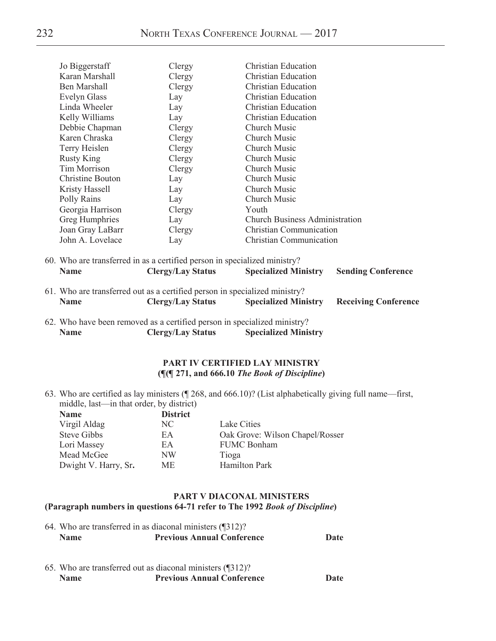| Jo Biggerstaff      | Clergy | <b>Christian Education</b>            |  |
|---------------------|--------|---------------------------------------|--|
| Karan Marshall      | Clergy | Christian Education                   |  |
| Ben Marshall        | Clergy | <b>Christian Education</b>            |  |
| <b>Evelyn Glass</b> | Lay    | <b>Christian Education</b>            |  |
| Linda Wheeler       | Lay    | <b>Christian Education</b>            |  |
| Kelly Williams      | Lay    | <b>Christian Education</b>            |  |
| Debbie Chapman      | Clergy | Church Music                          |  |
| Karen Chraska       | Clergy | Church Music                          |  |
| Terry Heislen       | Clergy | Church Music                          |  |
| <b>Rusty King</b>   | Clergy | Church Music                          |  |
| Tim Morrison        | Clergy | <b>Church Music</b>                   |  |
| Christine Bouton    | Lay    | Church Music                          |  |
| Kristy Hassell      | Lay    | <b>Church Music</b>                   |  |
| Polly Rains         | Lay    | <b>Church Music</b>                   |  |
| Georgia Harrison    | Clergy | Youth                                 |  |
| Greg Humphries      | Lay    | <b>Church Business Administration</b> |  |
| Joan Gray LaBarr    | Clergy | Christian Communication               |  |
| John A. Lovelace    | Lay    | <b>Christian Communication</b>        |  |

| 60. Who are transferred in as a certified person in specialized ministry? |                          |                             |                           |  |  |
|---------------------------------------------------------------------------|--------------------------|-----------------------------|---------------------------|--|--|
| <b>Name</b>                                                               | <b>Clergy/Lay Status</b> | <b>Specialized Ministry</b> | <b>Sending Conference</b> |  |  |

- 61. Who are transferred out as a certified person in specialized ministry? **Name Clergy/Lay Status Specialized Ministry Receiving Conference**
- 62. Who have been removed as a certified person in specialized ministry? **Name Clergy/Lay Status Specialized Ministry**

#### **PART IV CERTIFIED LAY MINISTRY (¶(¶ 271, and 666.10** *The Book of Discipline***)**

63. Who are certified as lay ministers (¶ 268, and 666.10)? (List alphabetically giving full name—first, middle, last—in that order, by district)<br>Name

| <b>Name</b>          | <b>District</b> |                                 |
|----------------------|-----------------|---------------------------------|
| Virgil Aldag         | NC.             | Lake Cities                     |
| <b>Steve Gibbs</b>   | EA              | Oak Grove: Wilson Chapel/Rosser |
| Lori Massey          | EA              | <b>FUMC Bonham</b>              |
| Mead McGee           | NW              | Tioga                           |
| Dwight V. Harry, Sr. | <b>ME</b>       | <b>Hamilton Park</b>            |

#### **PART V DIACONAL MINISTERS (Paragraph numbers in questions 64-71 refer to The 1992** *Book of Discipline***)**

|             | 64. Who are transferred in as diaconal ministers (1312)? |      |
|-------------|----------------------------------------------------------|------|
| <b>Name</b> | <b>Previous Annual Conference</b>                        | Date |

65. Who are transferred out as diaconal ministers (¶312)?  **Name Previous Annual Conference Date**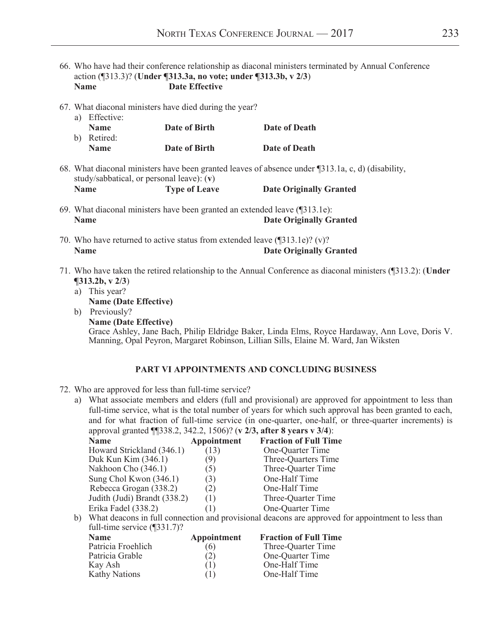- 66. Who have had their conference relationship as diaconal ministers terminated by Annual Conference action (¶313.3)? (**Under ¶313.3a, no vote; under ¶313.3b, v 2/3**) **Name Date Effective**
- 67. What diaconal ministers have died during the year?

| a) Effective: |               |               |
|---------------|---------------|---------------|
| <b>Name</b>   | Date of Birth | Date of Death |
| b) Retired:   |               |               |
| <b>Name</b>   | Date of Birth | Date of Death |

68. What diaconal ministers have been granted leaves of absence under ¶313.1a, c, d) (disability, study/sabbatical, or personal leave): (**v**) **Name Type of Leave Date Originally Granted** 

- 69. What diaconal ministers have been granted an extended leave (¶313.1e): **Date Originally Granted**
- 70. Who have returned to active status from extended leave (¶313.1e)? (v)? **Name Date Originally Granted**
- 71. Who have taken the retired relationship to the Annual Conference as diaconal ministers (¶313.2): (**Under ¶313.2b, v 2/3**)
	- a) This year?
		- **Name (Date Effective)**
	- b) Previously?  **Name (Date Effective)**  Grace Ashley, Jane Bach, Philip Eldridge Baker, Linda Elms, Royce Hardaway, Ann Love, Doris V. Manning, Opal Peyron, Margaret Robinson, Lillian Sills, Elaine M. Ward, Jan Wiksten

#### **PART VI APPOINTMENTS AND CONCLUDING BUSINESS**

#### 72. Who are approved for less than full-time service?

a) What associate members and elders (full and provisional) are approved for appointment to less than full-time service, what is the total number of years for which such approval has been granted to each, and for what fraction of full-time service (in one-quarter, one-half, or three-quarter increments) is approval granted **[1338.2, 342.2, 1506**)? (**v** 2/3, after **8** years **v** 3/4):

| .<br><b>Name</b>                                                                                                                                                                                                                                                                                            | Appointment | <b>Fraction of Full Time</b> |
|-------------------------------------------------------------------------------------------------------------------------------------------------------------------------------------------------------------------------------------------------------------------------------------------------------------|-------------|------------------------------|
| Howard Strickland (346.1)                                                                                                                                                                                                                                                                                   | (13)        | One-Quarter Time             |
| Duk Kun Kim (346.1)                                                                                                                                                                                                                                                                                         | 9)          | Three-Quarters Time          |
| Nakhoon Cho (346.1)                                                                                                                                                                                                                                                                                         | (5)         | Three-Quarter Time           |
| Sung Chol Kwon (346.1)                                                                                                                                                                                                                                                                                      | (3)         | One-Half Time                |
| Rebecca Grogan (338.2)                                                                                                                                                                                                                                                                                      | (2)         | One-Half Time                |
| Judith (Judi) Brandt (338.2)                                                                                                                                                                                                                                                                                | (1)         | Three-Quarter Time           |
| Erika Fadel (338.2)                                                                                                                                                                                                                                                                                         | (1)         | One-Quarter Time             |
| $\mathbf{1}$ , $\mathbf{1}$ , $\mathbf{1}$ , $\mathbf{1}$ , $\mathbf{1}$ , $\mathbf{1}$ , $\mathbf{1}$ , $\mathbf{1}$ , $\mathbf{1}$ , $\mathbf{1}$ , $\mathbf{1}$ , $\mathbf{1}$ , $\mathbf{1}$ , $\mathbf{1}$ , $\mathbf{1}$ , $\mathbf{1}$ , $\mathbf{1}$ , $\mathbf{1}$ , $\mathbf{1}$ , $\mathbf{1}$ , |             | $\sim$                       |

 b) What deacons in full connection and provisional deacons are approved for appointment to less than full-time service (¶331.7)?

| <b>Name</b>          | Appointment | <b>Fraction of Full Time</b> |
|----------------------|-------------|------------------------------|
| Patricia Froehlich   | (6)         | Three-Quarter Time           |
| Patricia Grable      | (2)         | One-Quarter Time             |
| Kay Ash              |             | One-Half Time                |
| <b>Kathy Nations</b> |             | One-Half Time                |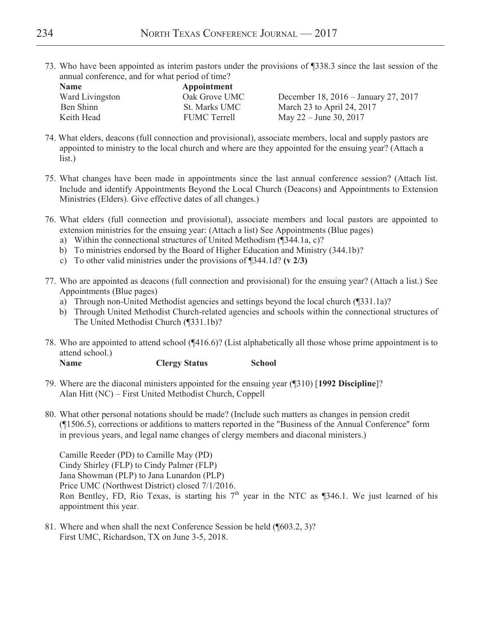73. Who have been appointed as interim pastors under the provisions of ¶338.3 since the last session of the annual conference, and for what period of time?

| <b>Name</b>     | Appointment          |                                      |
|-----------------|----------------------|--------------------------------------|
| Ward Livingston | Oak Grove UMC        | December 18, 2016 – January 27, 2017 |
| Ben Shinn       | <b>St. Marks UMC</b> | March 23 to April 24, 2017           |
| Keith Head      | <b>FUMC</b> Terrell  | May $22 -$ June 30, 2017             |

- 74. What elders, deacons (full connection and provisional), associate members, local and supply pastors are appointed to ministry to the local church and where are they appointed for the ensuing year? (Attach a list.)
- 75. What changes have been made in appointments since the last annual conference session? (Attach list. Include and identify Appointments Beyond the Local Church (Deacons) and Appointments to Extension Ministries (Elders). Give effective dates of all changes.)
- 76. What elders (full connection and provisional), associate members and local pastors are appointed to extension ministries for the ensuing year: (Attach a list) See Appointments (Blue pages)
	- a) Within the connectional structures of United Methodism (¶344.1a, c)?
	- b) To ministries endorsed by the Board of Higher Education and Ministry (344.1b)?
	- c) To other valid ministries under the provisions of ¶344.1d? **(v 2/3)**
- 77. Who are appointed as deacons (full connection and provisional) for the ensuing year? (Attach a list.) See Appointments (Blue pages)
	- a) Through non-United Methodist agencies and settings beyond the local church (¶331.1a)?
	- b) Through United Methodist Church-related agencies and schools within the connectional structures of The United Methodist Church (¶331.1b)?
- 78. Who are appointed to attend school (¶416.6)? (List alphabetically all those whose prime appointment is to attend school.)

**Name Clergy Status School** 

- 79. Where are the diaconal ministers appointed for the ensuing year (¶310) [**1992 Discipline**]? Alan Hitt (NC) – First United Methodist Church, Coppell
- 80. What other personal notations should be made? (Include such matters as changes in pension credit (¶1506.5), corrections or additions to matters reported in the "Business of the Annual Conference" form in previous years, and legal name changes of clergy members and diaconal ministers.)

 Camille Reeder (PD) to Camille May (PD) Cindy Shirley (FLP) to Cindy Palmer (FLP) Jana Showman (PLP) to Jana Lunardon (PLP) Price UMC (Northwest District) closed 7/1/2016. Ron Bentley, FD, Rio Texas, is starting his  $7<sup>th</sup>$  year in the NTC as ¶346.1. We just learned of his appointment this year.

81. Where and when shall the next Conference Session be held (¶603.2, 3)? First UMC, Richardson, TX on June 3-5, 2018.